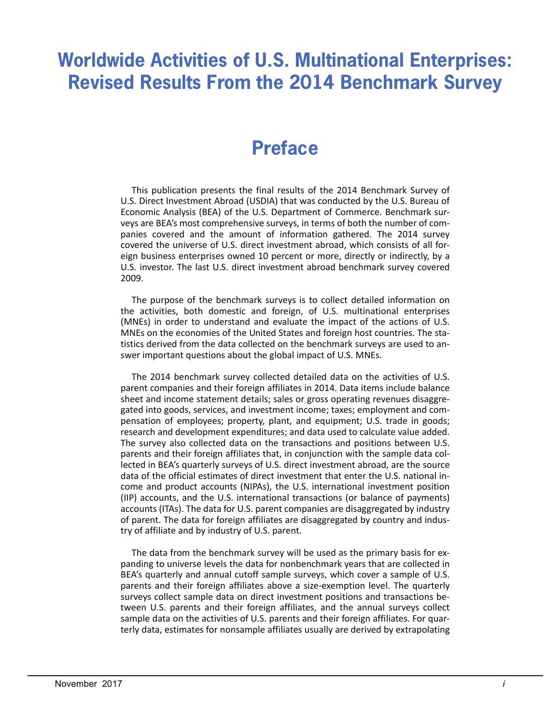# **Worldwide Activities of U.S. Multinational Enterprises: Revised Results From the 2014 Benchmark Survey**

# **Preface**

 Economic Analysis (BEA) of the U.S. Department of Commerce. Benchmark sur-This publication presents the final results of the 2014 Benchmark Survey of U.S. Direct Investment Abroad (USDIA) that was conducted by the U.S. Bureau of veys are BEA's most comprehensive surveys, in terms of both the number of companies covered and the amount of information gathered. The 2014 survey covered the universe of U.S. direct investment abroad, which consists of all foreign business enterprises owned 10 percent or more, directly or indirectly, by a U.S. investor. The last U.S. direct investment abroad benchmark survey covered 2009.

 (MNEs) in order to understand and evaluate the impact of the actions of U.S. The purpose of the benchmark surveys is to collect detailed information on the activities, both domestic and foreign, of U.S. multinational enterprises MNEs on the economies of the United States and foreign host countries. The statistics derived from the data collected on the benchmark surveys are used to answer important questions about the global impact of U.S. MNEs.

 pensation of employees; property, plant, and equipment; U.S. trade in goods; The survey also collected data on the transactions and positions between U.S. try of affiliate and by industry of U.S. parent. The 2014 benchmark survey collected detailed data on the activities of U.S. parent companies and their foreign affiliates in 2014. Data items include balance sheet and income statement details; sales or gross operating revenues disaggregated into goods, services, and investment income; taxes; employment and comresearch and development expenditures; and data used to calculate value added. parents and their foreign affiliates that, in conjunction with the sample data collected in BEA's quarterly surveys of U.S. direct investment abroad, are the source data of the official estimates of direct investment that enter the U.S. national income and product accounts (NIPAs), the U.S. international investment position (IIP) accounts, and the U.S. international transactions (or balance of payments) accounts (ITAs). The data for U.S. parent companies are disaggregated by industry of parent. The data for foreign affiliates are disaggregated by country and indus-

The data from the benchmark survey will be used as the primary basis for expanding to universe levels the data for nonbenchmark years that are collected in BEA's quarterly and annual cutoff sample surveys, which cover a sample of U.S. parents and their foreign affiliates above a size-exemption level. The quarterly surveys collect sample data on direct investment positions and transactions between U.S. parents and their foreign affiliates, and the annual surveys collect sample data on the activities of U.S. parents and their foreign affiliates. For quarterly data, estimates for nonsample affiliates usually are derived by extrapolating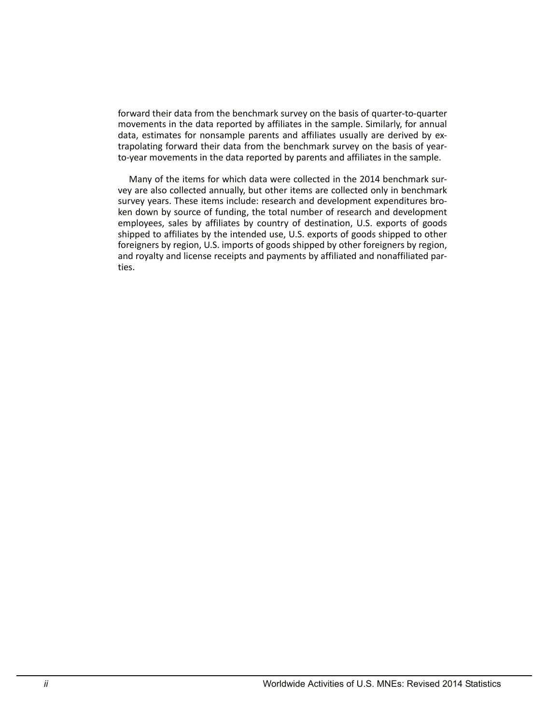forward their data from the benchmark survey on the basis of quarter-to-quarter movements in the data reported by affiliates in the sample. Similarly, for annual data, estimates for nonsample parents and affiliates usually are derived by extrapolating forward their data from the benchmark survey on the basis of yearto-year movements in the data reported by parents and affiliates in the sample.

 shipped to affiliates by the intended use, U.S. exports of goods shipped to other Many of the items for which data were collected in the 2014 benchmark survey are also collected annually, but other items are collected only in benchmark survey years. These items include: research and development expenditures broken down by source of funding, the total number of research and development employees, sales by affiliates by country of destination, U.S. exports of goods foreigners by region, U.S. imports of goods shipped by other foreigners by region, and royalty and license receipts and payments by affiliated and nonaffiliated parties.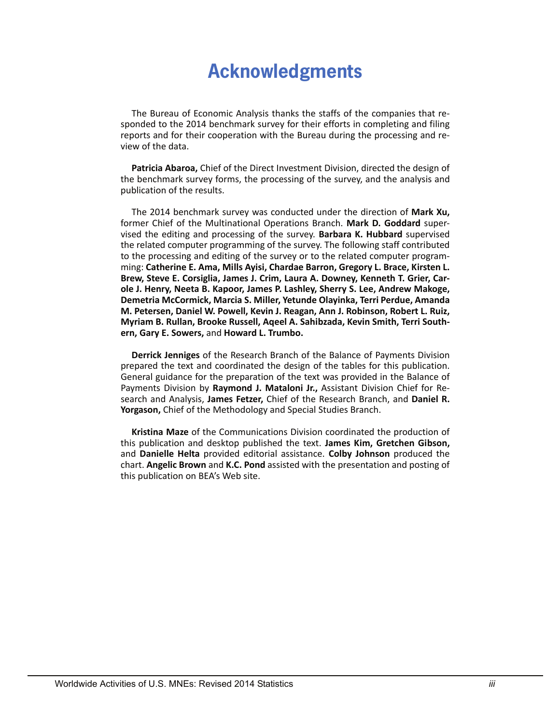# **Acknowledgments**

The Bureau of Economic Analysis thanks the staffs of the companies that responded to the 2014 benchmark survey for their efforts in completing and filing reports and for their cooperation with the Bureau during the processing and review of the data.

**Patricia Abaroa,** Chief of the Direct Investment Division, directed the design of the benchmark survey forms, the processing of the survey, and the analysis and publication of the results.

 to the processing and editing of the survey or to the related computer program- **ole J. Henry, Neeta B. Kapoor, James P. Lashley, Sherry S. Lee, Andrew Makoge, M. Petersen, Daniel W. Powell, Kevin J. Reagan, Ann J. Robinson, Robert L. Ruiz,**  The 2014 benchmark survey was conducted under the direction of **Mark Xu,**  former Chief of the Multinational Operations Branch. **Mark D. Goddard** supervised the editing and processing of the survey. **Barbara K. Hubbard** supervised the related computer programming of the survey. The following staff contributed ming: **Catherine E. Ama, Mills Ayisi, Chardae Barron, Gregory L. Brace, Kirsten L. Brew, Steve E. Corsiglia, James J. Crim, Laura A. Downey, Kenneth T. Grier, Car-Demetria McCormick, Marcia S. Miller, Yetunde Olayinka, Terri Perdue, Amanda Myriam B. Rullan, Brooke Russell, Aqeel A. Sahibzada, Kevin Smith, Terri Southern, Gary E. Sowers,** and **Howard L. Trumbo.** 

**Derrick Jenniges** of the Research Branch of the Balance of Payments Division prepared the text and coordinated the design of the tables for this publication. General guidance for the preparation of the text was provided in the Balance of Payments Division by **Raymond J. Mataloni Jr.,** Assistant Division Chief for Research and Analysis, **James Fetzer,** Chief of the Research Branch, and **Daniel R. Yorgason,** Chief of the Methodology and Special Studies Branch.

**Kristina Maze** of the Communications Division coordinated the production of this publication and desktop published the text. **James Kim, Gretchen Gibson,**  and **Danielle Helta** provided editorial assistance. **Colby Johnson** produced the chart. **Angelic Brown** and **K.C. Pond** assisted with the presentation and posting of this publication on BEA's Web site.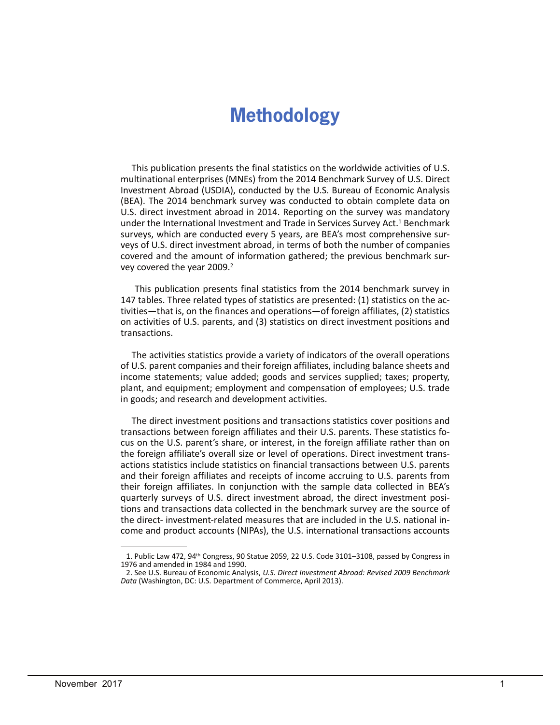# **Methodology**

This publication presents the final statistics on the worldwide activities of U.S. multinational enterprises (MNEs) from the 2014 Benchmark Survey of U.S. Direct Investment Abroad (USDIA), conducted by the U.S. Bureau of Economic Analysis (BEA). The 2014 benchmark survey was conducted to obtain complete data on U.S. direct investment abroad in 2014. Reporting on the survey was mandatory under the International Investment and Trade in Services Survey Act.<sup>1</sup> Benchmark surveys, which are conducted every 5 years, are BEA's most comprehensive surveys of U.S. direct investment abroad, in terms of both the number of companies covered and the amount of information gathered; the previous benchmark survey covered the year 2009.<sup>2</sup>

 on activities of U.S. parents, and (3) statistics on direct investment positions and This publication presents final statistics from the 2014 benchmark survey in 147 tables. Three related types of statistics are presented: (1) statistics on the activities—that is, on the finances and operations—of foreign affiliates, (2) statistics transactions.

The activities statistics provide a variety of indicators of the overall operations of U.S. parent companies and their foreign affiliates, including balance sheets and income statements; value added; goods and services supplied; taxes; property, plant, and equipment; employment and compensation of employees; U.S. trade in goods; and research and development activities.

 transactions between foreign affiliates and their U.S. parents. These statistics fo-The direct investment positions and transactions statistics cover positions and cus on the U.S. parent's share, or interest, in the foreign affiliate rather than on the foreign affiliate's overall size or level of operations. Direct investment transactions statistics include statistics on financial transactions between U.S. parents and their foreign affiliates and receipts of income accruing to U.S. parents from their foreign affiliates. In conjunction with the sample data collected in BEA's quarterly surveys of U.S. direct investment abroad, the direct investment positions and transactions data collected in the benchmark survey are the source of the direct- investment-related measures that are included in the U.S. national income and product accounts (NIPAs), the U.S. international transactions accounts

<sup>1.</sup> Public Law 472, 94th Congress, 90 Statue 2059, 22 U.S. Code 3101–3108, passed by Congress in 1976 and amended in 1984 and 1990.

<sup>2.</sup> See U.S. Bureau of Economic Analysis, *U.S. Direct Investment Abroad: Revised 2009 Benchmark Data* (Washington, DC: U.S. Department of Commerce, April 2013).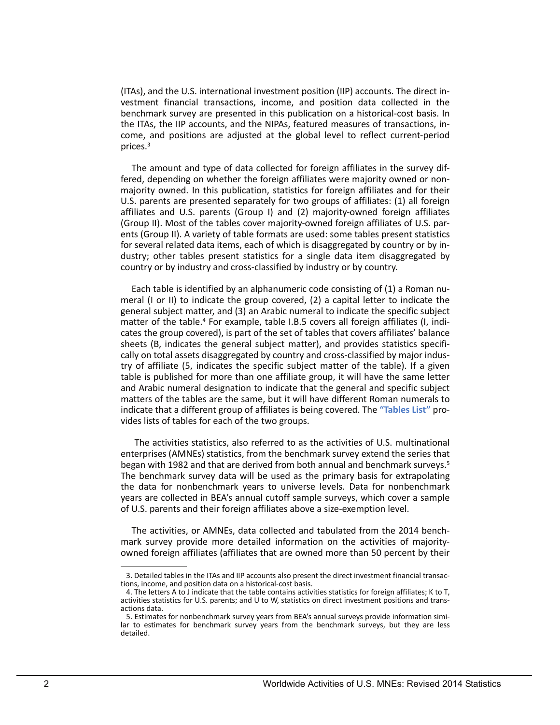vestment financial transactions, income, and position data collected in the (ITAs), and the U.S. international investment position (IIP) accounts. The direct inbenchmark survey are presented in this publication on a historical-cost basis. In the ITAs, the IIP accounts, and the NIPAs, featured measures of transactions, income, and positions are adjusted at the global level to reflect current-period prices.3

The amount and type of data collected for foreign affiliates in the survey differed, depending on whether the foreign affiliates were majority owned or nonmajority owned. In this publication, statistics for foreign affiliates and for their U.S. parents are presented separately for two groups of affiliates: (1) all foreign affiliates and U.S. parents (Group I) and (2) majority-owned foreign affiliates (Group II). Most of the tables cover majority-owned foreign affiliates of U.S. parents (Group II). A variety of table formats are used: some tables present statistics for several related data items, each of which is disaggregated by country or by industry; other tables present statistics for a single data item disaggregated by country or by industry and cross-classified by industry or by country.

 Each table is identified by an alphanumeric code consisting of (1) a Roman numeral (I or II) to indicate the group covered, (2) a capital letter to indicate the general subject matter, and (3) an Arabic numeral to indicate the specific subject matter of the table.<sup>4</sup> For example, table I.B.5 covers all foreign affiliates (I, indicates the group covered), is part of the set of tables that covers affiliates' balance sheets (B, indicates the general subject matter), and provides statistics specifically on total assets disaggregated by country and cross-classified by major industry of affiliate (5, indicates the specific subject matter of the table). If a given table is published for more than one affiliate group, it will have the same letter and Arabic numeral designation to indicate that the general and specific subject matters of the tables are the same, but it will have different Roman numerals to indicate that a different group of affiliates is being covered. The **["Tables List"](https://www.bea.gov/international/pdf/usdia_2014r/MNE Benchmark Tables List.pdf)** provides lists of tables for each of the two groups.

 The activities statistics, also referred to as the activities of U.S. multinational enterprises (AMNEs) statistics, from the benchmark survey extend the series that began with 1982 and that are derived from both annual and benchmark surveys.5 The benchmark survey data will be used as the primary basis for extrapolating the data for nonbenchmark years to universe levels. Data for nonbenchmark years are collected in BEA's annual cutoff sample surveys, which cover a sample of U.S. parents and their foreign affiliates above a size-exemption level.

The activities, or AMNEs, data collected and tabulated from the 2014 benchmark survey provide more detailed information on the activities of majorityowned foreign affiliates (affiliates that are owned more than 50 percent by their

 3. Detailed tables in the ITAs and IIP accounts also present the direct investment financial transac- tions, income, and position data on a historical-cost basis.

<sup>4.</sup> The letters A to J indicate that the table contains activities statistics for foreign affiliates; K to T, activities statistics for U.S. parents; and U to W, statistics on direct investment positions and transactions data.

<sup>5.</sup> Estimates for nonbenchmark survey years from BEA's annual surveys provide information similar to estimates for benchmark survey years from the benchmark surveys, but they are less detailed.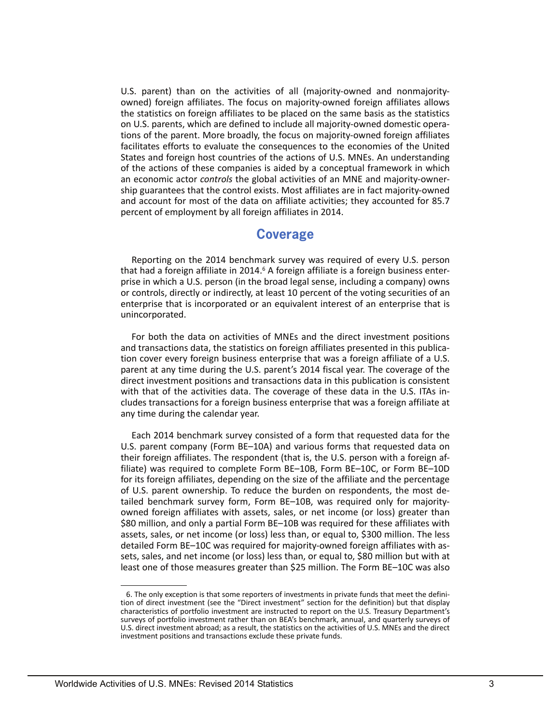the statistics on foreign affiliates to be placed on the same basis as the statistics U.S. parent) than on the activities of all (majority-owned and nonmajorityowned) foreign affiliates. The focus on majority-owned foreign affiliates allows on U.S. parents, which are defined to include all majority-owned domestic operations of the parent. More broadly, the focus on majority-owned foreign affiliates facilitates efforts to evaluate the consequences to the economies of the United States and foreign host countries of the actions of U.S. MNEs. An understanding of the actions of these companies is aided by a conceptual framework in which an economic actor *controls* the global activities of an MNE and majority-ownership guarantees that the control exists. Most affiliates are in fact majority-owned and account for most of the data on affiliate activities; they accounted for 85.7 percent of employment by all foreign affiliates in 2014.

# **Coverage**

 Reporting on the 2014 benchmark survey was required of every U.S. person that had a foreign affiliate in 2014.<sup>6</sup> A foreign affiliate is a foreign business enterprise in which a U.S. person (in the broad legal sense, including a company) owns or controls, directly or indirectly, at least 10 percent of the voting securities of an enterprise that is incorporated or an equivalent interest of an enterprise that is unincorporated.

 parent at any time during the U.S. parent's 2014 fiscal year. The coverage of the For both the data on activities of MNEs and the direct investment positions and transactions data, the statistics on foreign affiliates presented in this publication cover every foreign business enterprise that was a foreign affiliate of a U.S. direct investment positions and transactions data in this publication is consistent with that of the activities data. The coverage of these data in the U.S. ITAs includes transactions for a foreign business enterprise that was a foreign affiliate at any time during the calendar year.

Each 2014 benchmark survey consisted of a form that requested data for the U.S. parent company (Form BE–10A) and various forms that requested data on their foreign affiliates. The respondent (that is, the U.S. person with a foreign affiliate) was required to complete Form BE–10B, Form BE–10C, or Form BE–10D for its foreign affiliates, depending on the size of the affiliate and the percentage of U.S. parent ownership. To reduce the burden on respondents, the most detailed benchmark survey form, Form BE–10B, was required only for majorityowned foreign affiliates with assets, sales, or net income (or loss) greater than \$80 million, and only a partial Form BE–10B was required for these affiliates with assets, sales, or net income (or loss) less than, or equal to, \$300 million. The less detailed Form BE–10C was required for majority-owned foreign affiliates with assets, sales, and net income (or loss) less than, or equal to, \$80 million but with at least one of those measures greater than \$25 million. The Form BE–10C was also

<sup>6.</sup> The only exception is that some reporters of investments in private funds that meet the defini- U.S. direct investment abroad; as a result, the statistics on the activities of U.S. MNEs and the direct tion of direct investment (see the "Direct investment" section for the definition) but that display characteristics of portfolio investment are instructed to report on the U.S. Treasury Department's surveys of portfolio investment rather than on BEA's benchmark, annual, and quarterly surveys of investment positions and transactions exclude these private funds.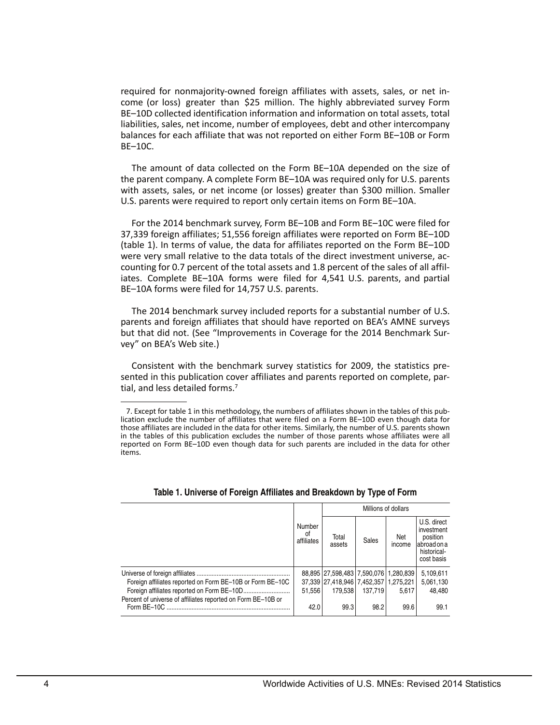required for nonmajority-owned foreign affiliates with assets, sales, or net income (or loss) greater than \$25 million. The highly abbreviated survey Form BE–10D collected identification information and information on total assets, total liabilities, sales, net income, number of employees, debt and other intercompany balances for each affiliate that was not reported on either Form BE–10B or Form BE–10C.

 the parent company. A complete Form BE–10A was required only for U.S. parents The amount of data collected on the Form BE–10A depended on the size of with assets, sales, or net income (or losses) greater than \$300 million. Smaller U.S. parents were required to report only certain items on Form BE–10A.

For the 2014 benchmark survey, Form BE–10B and Form BE–10C were filed for 37,339 foreign affiliates; 51,556 foreign affiliates were reported on Form BE–10D (table 1). In terms of value, the data for affiliates reported on the Form BE–10D were very small relative to the data totals of the direct investment universe, accounting for 0.7 percent of the total assets and 1.8 percent of the sales of all affiliates. Complete BE–10A forms were filed for 4,541 U.S. parents, and partial BE–10A forms were filed for 14,757 U.S. parents.

The 2014 benchmark survey included reports for a substantial number of U.S. parents and foreign affiliates that should have reported on BEA's AMNE surveys but that did not. (See "Improvements in Coverage for the 2014 Benchmark Survey" on BEA's Web site.)

Consistent with the benchmark survey statistics for 2009, the statistics presented in this publication cover affiliates and parents reported on complete, partial, and less detailed forms.<sup>7</sup>

|                                                                               |                            | Millions of dollars                   |         |               |                                                                                    |  |  |
|-------------------------------------------------------------------------------|----------------------------|---------------------------------------|---------|---------------|------------------------------------------------------------------------------------|--|--|
|                                                                               | Number<br>οf<br>affiliates | Total<br>assets                       | Sales   | Net<br>income | U.S. direct<br>investment<br>position<br>labroad on a<br>historical-<br>cost basis |  |  |
|                                                                               |                            | 88,895 27,598,483 7,590,076 1,280,839 |         |               | 5,109,611                                                                          |  |  |
| Foreign affiliates reported on Form BE-10B or Form BE-10C                     |                            | 37,339 27,418,946 7,452,357 1,275,221 |         |               | 5,061,130                                                                          |  |  |
|                                                                               | 51.556                     | 179.538                               | 137.719 | 5.617         | 48.480                                                                             |  |  |
| Percent of universe of affiliates reported on Form BE-10B or<br>Form $BF-10C$ | 42.0                       | 99.3                                  | 98.2    | 99.6          | 99.1                                                                               |  |  |

#### **Table 1. Universe of Foreign Affiliates and Breakdown by Type of Form**

 those affiliates are included in the data for other items. Similarly, the number of U.S. parents shown 7. Except for table 1 in this methodology, the numbers of affiliates shown in the tables of this pub- lication exclude the number of affiliates that were filed on a Form BE–10D even though data for in the tables of this publication excludes the number of those parents whose affiliates were all reported on Form BE–10D even though data for such parents are included in the data for other items.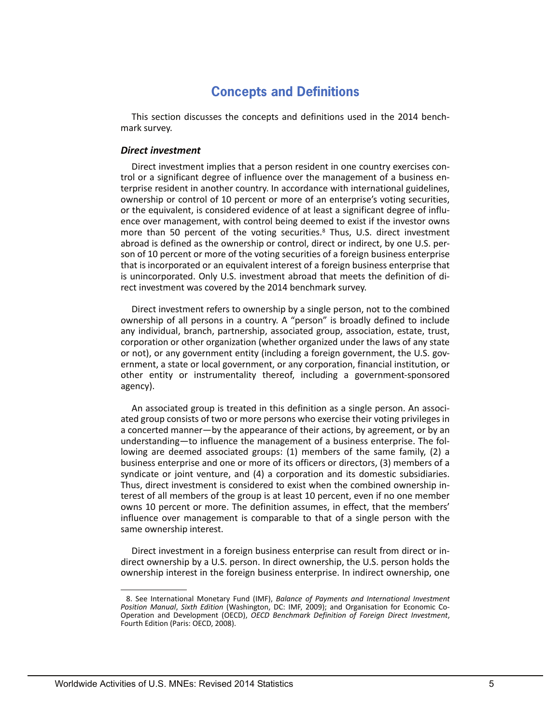# **Concepts and Definitions**

This section discusses the concepts and definitions used in the 2014 benchmark survey.

## *Direct investment*

 or the equivalent, is considered evidence of at least a significant degree of influ-Direct investment implies that a person resident in one country exercises control or a significant degree of influence over the management of a business enterprise resident in another country. In accordance with international guidelines, ownership or control of 10 percent or more of an enterprise's voting securities, ence over management, with control being deemed to exist if the investor owns more than 50 percent of the voting securities.<sup>8</sup> Thus, U.S. direct investment abroad is defined as the ownership or control, direct or indirect, by one U.S. person of 10 percent or more of the voting securities of a foreign business enterprise that is incorporated or an equivalent interest of a foreign business enterprise that is unincorporated. Only U.S. investment abroad that meets the definition of direct investment was covered by the 2014 benchmark survey.

 Direct investment refers to ownership by a single person, not to the combined ownership of all persons in a country. A "person" is broadly defined to include any individual, branch, partnership, associated group, association, estate, trust, corporation or other organization (whether organized under the laws of any state or not), or any government entity (including a foreign government, the U.S. government, a state or local government, or any corporation, financial institution, or other entity or instrumentality thereof, including a government-sponsored agency).

 business enterprise and one or more of its officers or directors, (3) members of a An associated group is treated in this definition as a single person. An associated group consists of two or more persons who exercise their voting privileges in a concerted manner—by the appearance of their actions, by agreement, or by an understanding—to influence the management of a business enterprise. The following are deemed associated groups: (1) members of the same family, (2) a syndicate or joint venture, and (4) a corporation and its domestic subsidiaries. Thus, direct investment is considered to exist when the combined ownership interest of all members of the group is at least 10 percent, even if no one member owns 10 percent or more. The definition assumes, in effect, that the members' influence over management is comparable to that of a single person with the same ownership interest.

Direct investment in a foreign business enterprise can result from direct or indirect ownership by a U.S. person. In direct ownership, the U.S. person holds the ownership interest in the foreign business enterprise. In indirect ownership, one

<sup>8.</sup> See International Monetary Fund (IMF), *Balance of Payments and International Investment Position Manual*, *Sixth Edition* (Washington, DC: IMF, 2009); and Organisation for Economic Co-Operation and Development (OECD), *OECD Benchmark Definition of Foreign Direct Investment*, Fourth Edition (Paris: OECD, 2008).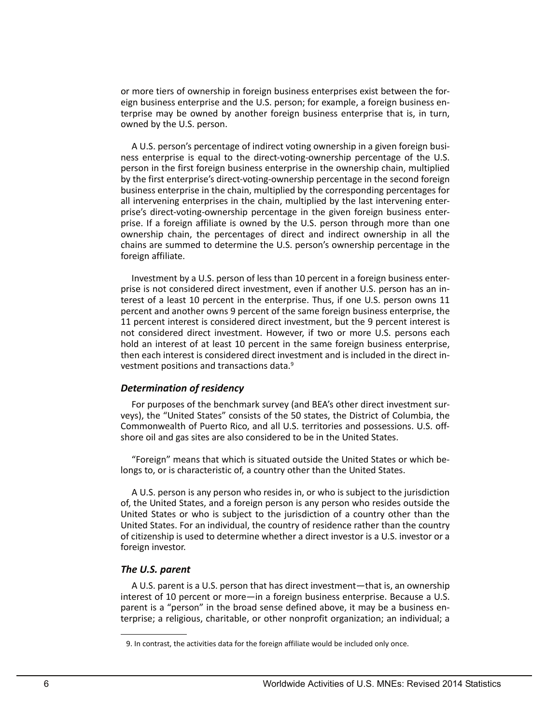or more tiers of ownership in foreign business enterprises exist between the foreign business enterprise and the U.S. person; for example, a foreign business enterprise may be owned by another foreign business enterprise that is, in turn, owned by the U.S. person.

A U.S. person's percentage of indirect voting ownership in a given foreign business enterprise is equal to the direct-voting-ownership percentage of the U.S. person in the first foreign business enterprise in the ownership chain, multiplied by the first enterprise's direct-voting-ownership percentage in the second foreign business enterprise in the chain, multiplied by the corresponding percentages for all intervening enterprises in the chain, multiplied by the last intervening enterprise's direct-voting-ownership percentage in the given foreign business enterprise. If a foreign affiliate is owned by the U.S. person through more than one ownership chain, the percentages of direct and indirect ownership in all the chains are summed to determine the U.S. person's ownership percentage in the foreign affiliate.

Investment by a U.S. person of less than 10 percent in a foreign business enterprise is not considered direct investment, even if another U.S. person has an interest of a least 10 percent in the enterprise. Thus, if one U.S. person owns 11 percent and another owns 9 percent of the same foreign business enterprise, the 11 percent interest is considered direct investment, but the 9 percent interest is not considered direct investment. However, if two or more U.S. persons each hold an interest of at least 10 percent in the same foreign business enterprise, then each interest is considered direct investment and is included in the direct investment positions and transactions data.9

## *Determination of residency*

 veys), the "United States" consists of the 50 states, the District of Columbia, the For purposes of the benchmark survey (and BEA's other direct investment sur-Commonwealth of Puerto Rico, and all U.S. territories and possessions. U.S. offshore oil and gas sites are also considered to be in the United States.

"Foreign" means that which is situated outside the United States or which belongs to, or is characteristic of, a country other than the United States.

 A U.S. person is any person who resides in, or who is subject to the jurisdiction United States or who is subject to the jurisdiction of a country other than the of, the United States, and a foreign person is any person who resides outside the United States. For an individual, the country of residence rather than the country of citizenship is used to determine whether a direct investor is a U.S. investor or a foreign investor.

## *The U.S. parent*

A U.S. parent is a U.S. person that has direct investment—that is, an ownership interest of 10 percent or more—in a foreign business enterprise. Because a U.S. parent is a "person" in the broad sense defined above, it may be a business enterprise; a religious, charitable, or other nonprofit organization; an individual; a

<sup>9.</sup> In contrast, the activities data for the foreign affiliate would be included only once.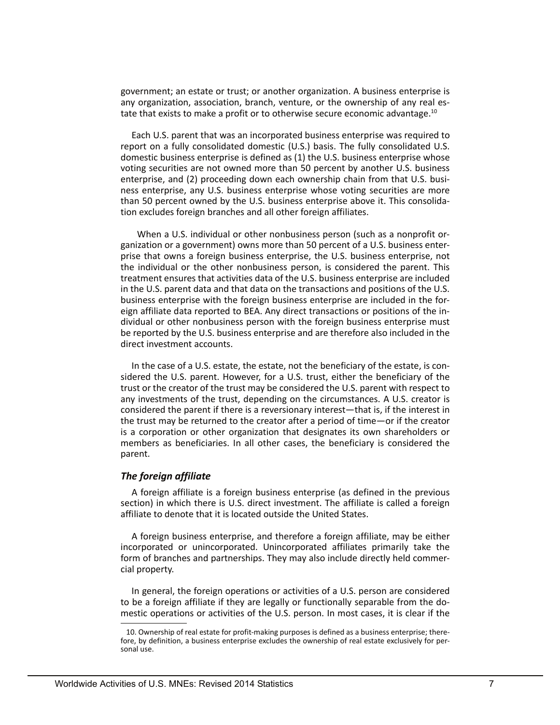government; an estate or trust; or another organization. A business enterprise is any organization, association, branch, venture, or the ownership of any real estate that exists to make a profit or to otherwise secure economic advantage.10

Each U.S. parent that was an incorporated business enterprise was required to report on a fully consolidated domestic (U.S.) basis. The fully consolidated U.S. domestic business enterprise is defined as (1) the U.S. business enterprise whose voting securities are not owned more than 50 percent by another U.S. business enterprise, and (2) proceeding down each ownership chain from that U.S. business enterprise, any U.S. business enterprise whose voting securities are more than 50 percent owned by the U.S. business enterprise above it. This consolidation excludes foreign branches and all other foreign affiliates.

 When a U.S. individual or other nonbusiness person (such as a nonprofit organization or a government) owns more than 50 percent of a U.S. business enterprise that owns a foreign business enterprise, the U.S. business enterprise, not the individual or the other nonbusiness person, is considered the parent. This treatment ensures that activities data of the U.S. business enterprise are included in the U.S. parent data and that data on the transactions and positions of the U.S. business enterprise with the foreign business enterprise are included in the foreign affiliate data reported to BEA. Any direct transactions or positions of the individual or other nonbusiness person with the foreign business enterprise must be reported by the U.S. business enterprise and are therefore also included in the direct investment accounts.

In the case of a U.S. estate, the estate, not the beneficiary of the estate, is considered the U.S. parent. However, for a U.S. trust, either the beneficiary of the trust or the creator of the trust may be considered the U.S. parent with respect to any investments of the trust, depending on the circumstances. A U.S. creator is considered the parent if there is a reversionary interest—that is, if the interest in the trust may be returned to the creator after a period of time—or if the creator is a corporation or other organization that designates its own shareholders or members as beneficiaries. In all other cases, the beneficiary is considered the parent.

## *The foreign affiliate*

A foreign affiliate is a foreign business enterprise (as defined in the previous section) in which there is U.S. direct investment. The affiliate is called a foreign affiliate to denote that it is located outside the United States.

A foreign business enterprise, and therefore a foreign affiliate, may be either incorporated or unincorporated. Unincorporated affiliates primarily take the form of branches and partnerships. They may also include directly held commercial property.

 to be a foreign affiliate if they are legally or functionally separable from the do-In general, the foreign operations or activities of a U.S. person are considered mestic operations or activities of the U.S. person. In most cases, it is clear if the

<sup>10.</sup> Ownership of real estate for profit-making purposes is defined as a business enterprise; there- fore, by definition, a business enterprise excludes the ownership of real estate exclusively for per- sonal use.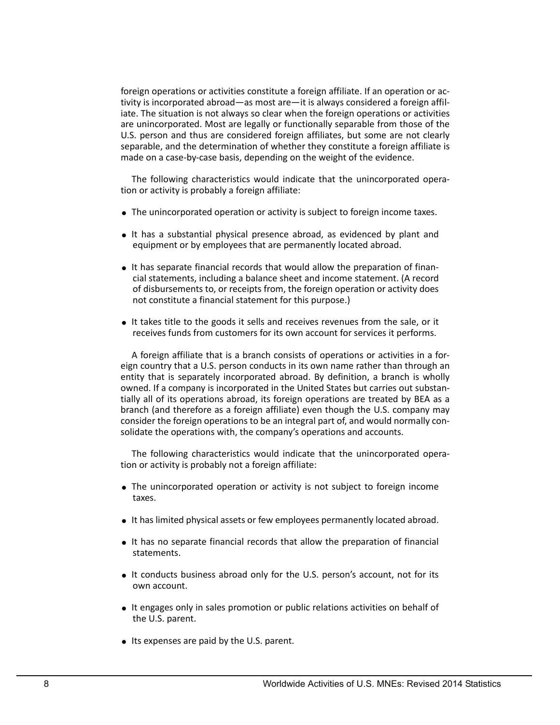foreign operations or activities constitute a foreign affiliate. If an operation or activity is incorporated abroad—as most are—it is always considered a foreign affiliate. The situation is not always so clear when the foreign operations or activities are unincorporated. Most are legally or functionally separable from those of the U.S. person and thus are considered foreign affiliates, but some are not clearly separable, and the determination of whether they constitute a foreign affiliate is made on a case-by-case basis, depending on the weight of the evidence.

The following characteristics would indicate that the unincorporated operation or activity is probably a foreign affiliate:

- The unincorporated operation or activity is subject to foreign income taxes.
- It has a substantial physical presence abroad, as evidenced by plant and equipment or by employees that are permanently located abroad.
- It has separate financial records that would allow the preparation of financial statements, including a balance sheet and income statement. (A record of disbursements to, or receipts from, the foreign operation or activity does not constitute a financial statement for this purpose.)
- It takes title to the goods it sells and receives revenues from the sale, or it receives funds from customers for its own account for services it performs.

A foreign affiliate that is a branch consists of operations or activities in a foreign country that a U.S. person conducts in its own name rather than through an entity that is separately incorporated abroad. By definition, a branch is wholly owned. If a company is incorporated in the United States but carries out substantially all of its operations abroad, its foreign operations are treated by BEA as a branch (and therefore as a foreign affiliate) even though the U.S. company may consider the foreign operations to be an integral part of, and would normally consolidate the operations with, the company's operations and accounts.

The following characteristics would indicate that the unincorporated operation or activity is probably not a foreign affiliate:

- The unincorporated operation or activity is not subject to foreign income taxes.
- It has limited physical assets or few employees permanently located abroad.
- It has no separate financial records that allow the preparation of financial statements.
- It conducts business abroad only for the U.S. person's account, not for its own account.
- It engages only in sales promotion or public relations activities on behalf of the U.S. parent.
- Its expenses are paid by the U.S. parent.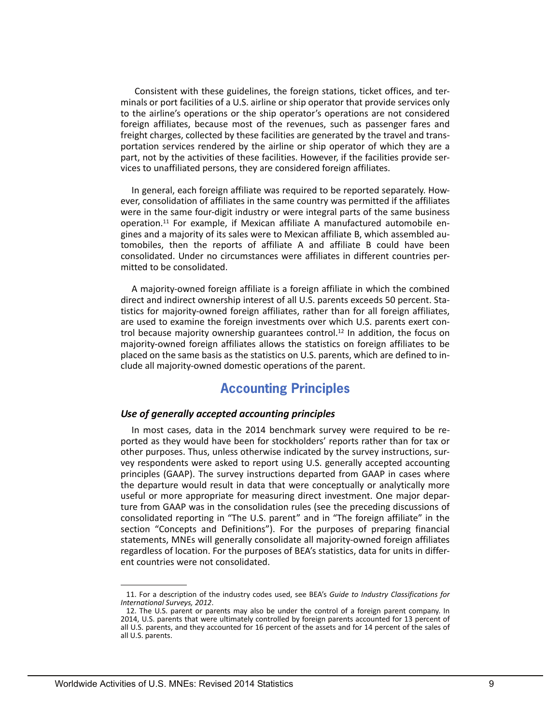Consistent with these guidelines, the foreign stations, ticket offices, and terminals or port facilities of a U.S. airline or ship operator that provide services only to the airline's operations or the ship operator's operations are not considered foreign affiliates, because most of the revenues, such as passenger fares and freight charges, collected by these facilities are generated by the travel and transportation services rendered by the airline or ship operator of which they are a part, not by the activities of these facilities. However, if the facilities provide services to unaffiliated persons, they are considered foreign affiliates.

In general, each foreign affiliate was required to be reported separately. However, consolidation of affiliates in the same country was permitted if the affiliates were in the same four-digit industry or were integral parts of the same business operation.11 For example, if Mexican affiliate A manufactured automobile engines and a majority of its sales were to Mexican affiliate B, which assembled automobiles, then the reports of affiliate A and affiliate B could have been consolidated. Under no circumstances were affiliates in different countries permitted to be consolidated.

A majority-owned foreign affiliate is a foreign affiliate in which the combined direct and indirect ownership interest of all U.S. parents exceeds 50 percent. Statistics for majority-owned foreign affiliates, rather than for all foreign affiliates, are used to examine the foreign investments over which U.S. parents exert control because majority ownership guarantees control.<sup>12</sup> In addition, the focus on majority-owned foreign affiliates allows the statistics on foreign affiliates to be placed on the same basis as the statistics on U.S. parents, which are defined to include all majority-owned domestic operations of the parent.

# **Accounting Principles**

## *Use of generally accepted accounting principles*

In most cases, data in the 2014 benchmark survey were required to be reported as they would have been for stockholders' reports rather than for tax or other purposes. Thus, unless otherwise indicated by the survey instructions, survey respondents were asked to report using U.S. generally accepted accounting principles (GAAP). The survey instructions departed from GAAP in cases where the departure would result in data that were conceptually or analytically more useful or more appropriate for measuring direct investment. One major departure from GAAP was in the consolidation rules (see the preceding discussions of consolidated reporting in "The U.S. parent" and in "The foreign affiliate" in the section "Concepts and Definitions"). For the purposes of preparing financial statements, MNEs will generally consolidate all majority-owned foreign affiliates regardless of location. For the purposes of BEA's statistics, data for units in different countries were not consolidated.

 11. For a description of the industry codes used, see BEA's *Guide to Industry Classifications for International Surveys, 2012*.

 12. The U.S. parent or parents may also be under the control of a foreign parent company. In 2014, U.S. parents that were ultimately controlled by foreign parents accounted for 13 percent of all U.S. parents, and they accounted for 16 percent of the assets and for 14 percent of the sales of all U.S. parents.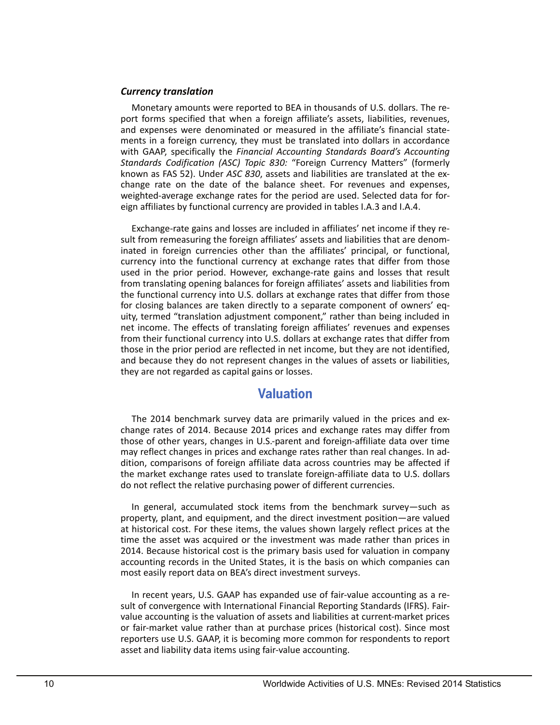#### *Currency translation*

 and expenses were denominated or measured in the affiliate's financial state- weighted-average exchange rates for the period are used. Selected data for for-Monetary amounts were reported to BEA in thousands of U.S. dollars. The report forms specified that when a foreign affiliate's assets, liabilities, revenues, ments in a foreign currency, they must be translated into dollars in accordance with GAAP, specifically the *Financial Accounting Standards Board's Accounting Standards Codification (ASC) Topic 830:* "Foreign Currency Matters" (formerly known as FAS 52). Under *ASC 830*, assets and liabilities are translated at the exchange rate on the date of the balance sheet. For revenues and expenses, eign affiliates by functional currency are provided in tables I.A.3 and I.A.4.

Exchange-rate gains and losses are included in affiliates' net income if they result from remeasuring the foreign affiliates' assets and liabilities that are denominated in foreign currencies other than the affiliates' principal, or functional, currency into the functional currency at exchange rates that differ from those used in the prior period. However, exchange-rate gains and losses that result from translating opening balances for foreign affiliates' assets and liabilities from the functional currency into U.S. dollars at exchange rates that differ from those for closing balances are taken directly to a separate component of owners' equity, termed "translation adjustment component," rather than being included in net income. The effects of translating foreign affiliates' revenues and expenses from their functional currency into U.S. dollars at exchange rates that differ from those in the prior period are reflected in net income, but they are not identified, and because they do not represent changes in the values of assets or liabilities, they are not regarded as capital gains or losses.

# **Valuation**

The 2014 benchmark survey data are primarily valued in the prices and exchange rates of 2014. Because 2014 prices and exchange rates may differ from those of other years, changes in U.S.-parent and foreign-affiliate data over time may reflect changes in prices and exchange rates rather than real changes. In addition, comparisons of foreign affiliate data across countries may be affected if the market exchange rates used to translate foreign-affiliate data to U.S. dollars do not reflect the relative purchasing power of different currencies.

 most easily report data on BEA's direct investment surveys. In general, accumulated stock items from the benchmark survey—such as property, plant, and equipment, and the direct investment position—are valued at historical cost. For these items, the values shown largely reflect prices at the time the asset was acquired or the investment was made rather than prices in 2014. Because historical cost is the primary basis used for valuation in company accounting records in the United States, it is the basis on which companies can

In recent years, U.S. GAAP has expanded use of fair-value accounting as a result of convergence with International Financial Reporting Standards (IFRS). Fairvalue accounting is the valuation of assets and liabilities at current-market prices or fair-market value rather than at purchase prices (historical cost). Since most reporters use U.S. GAAP, it is becoming more common for respondents to report asset and liability data items using fair-value accounting.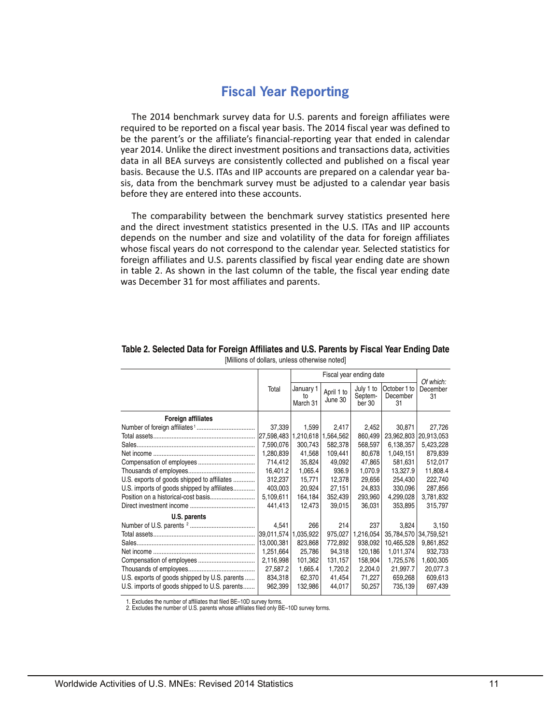# **Fiscal Year Reporting**

The 2014 benchmark survey data for U.S. parents and foreign affiliates were required to be reported on a fiscal year basis. The 2014 fiscal year was defined to be the parent's or the affiliate's financial-reporting year that ended in calendar year 2014. Unlike the direct investment positions and transactions data, activities data in all BEA surveys are consistently collected and published on a fiscal year basis. Because the U.S. ITAs and IIP accounts are prepared on a calendar year basis, data from the benchmark survey must be adjusted to a calendar year basis before they are entered into these accounts.

The comparability between the benchmark survey statistics presented here and the direct investment statistics presented in the U.S. ITAs and IIP accounts depends on the number and size and volatility of the data for foreign affiliates whose fiscal years do not correspond to the calendar year. Selected statistics for foreign affiliates and U.S. parents classified by fiscal year ending date are shown in table 2. As shown in the last column of the table, the fiscal year ending date was December 31 for most affiliates and parents.

|                                               |                      |                             | Of which:             |                                |                                |                |
|-----------------------------------------------|----------------------|-----------------------------|-----------------------|--------------------------------|--------------------------------|----------------|
|                                               | Total                | January 1<br>to<br>March 31 | April 1 to<br>June 30 | July 1 to<br>Septem-<br>ber 30 | October 1 to<br>December<br>31 | December<br>31 |
| <b>Foreign affiliates</b>                     |                      |                             |                       |                                |                                |                |
|                                               | 37,339               | 1,599                       | 2,417                 | 2,452                          | 30,871                         | 27,726         |
|                                               | 27,598,483           |                             | 1,210,618 1,564,562   | 860,499                        | 23,962,803                     | 20,913,053     |
|                                               | 7,590,076            | 300,743                     | 582,378               | 568,597                        | 6,138,357                      | 5,423,228      |
|                                               | 1,280,839            | 41,568                      | 109,441               | 80,678                         | 1,049,151                      | 879,839        |
|                                               | 714,412              | 35,824                      | 49,092                | 47,865                         | 581,631                        | 512,017        |
|                                               | 16,401.2             | 1,065.4                     | 936.9                 | 1,070.9                        | 13,327.9                       | 11,808.4       |
| U.S. exports of goods shipped to affiliates   | 312,237              | 15,771                      | 12,378                | 29,656                         | 254,430                        | 222,740        |
| U.S. imports of goods shipped by affiliates   | 403,003              | 20,924                      | 27,151                | 24,833                         | 330,096                        | 287,856        |
|                                               | 5,109,611            | 164,184                     | 352,439               | 293,960                        | 4,299,028                      | 3,781,832      |
|                                               | 441,413              | 12,473                      | 39,015                | 36,031                         | 353,895                        | 315,797        |
| U.S. parents                                  |                      |                             |                       |                                |                                |                |
|                                               | 4,541                | 266                         | 214                   | 237                            | 3,824                          | 3,150          |
|                                               | 39,011,574 1,035,922 |                             | 975,027               | 1,216,054                      | 35,784,570                     | 34,759,521     |
|                                               | 13,000,381           | 823,868                     | 772,892               | 938,092                        | 10,465,528                     | 9,861,852      |
|                                               | 1,251,664            | 25,786                      | 94,318                | 120,186                        | 1,011,374                      | 932,733        |
|                                               | 2,116,998            | 101,362                     | 131,157               | 158,904                        | 1,725,576                      | 1,600,305      |
|                                               | 27,587.2             | 1,665.4                     | 1,720.2               | 2,204.0                        | 21,997.7                       | 20,077.3       |
| U.S. exports of goods shipped by U.S. parents | 834,318              | 62,370                      | 41,454                | 71,227                         | 659,268                        | 609,613        |
| U.S. imports of goods shipped to U.S. parents | 962,399              | 132,986                     | 44,017                | 50,257                         | 735,139                        | 697,439        |

#### **Table 2. Selected Data for Foreign Affiliates and U.S. Parents by Fiscal Year Ending Date**  [Millions of dollars, unless otherwise noted]

1. Excludes the number of affiliates that filed BE–10D survey forms.

2. Excludes the number of U.S. parents whose affiliates filed only BE–10D survey forms.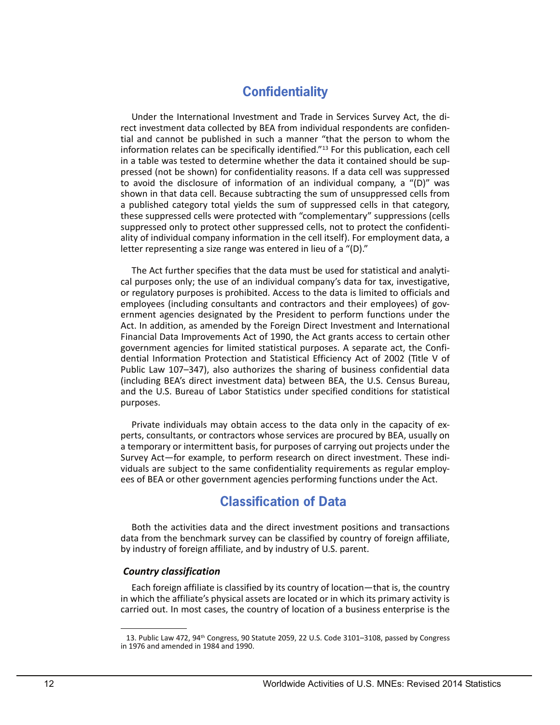# **Confidentiality**

 a published category total yields the sum of suppressed cells in that category, Under the International Investment and Trade in Services Survey Act, the direct investment data collected by BEA from individual respondents are confidential and cannot be published in such a manner "that the person to whom the information relates can be specifically identified."13 For this publication, each cell in a table was tested to determine whether the data it contained should be suppressed (not be shown) for confidentiality reasons. If a data cell was suppressed to avoid the disclosure of information of an individual company, a "(D)" was shown in that data cell. Because subtracting the sum of unsuppressed cells from these suppressed cells were protected with "complementary" suppressions (cells suppressed only to protect other suppressed cells, not to protect the confidentiality of individual company information in the cell itself). For employment data, a letter representing a size range was entered in lieu of a "(D)."

The Act further specifies that the data must be used for statistical and analytical purposes only; the use of an individual company's data for tax, investigative, or regulatory purposes is prohibited. Access to the data is limited to officials and employees (including consultants and contractors and their employees) of government agencies designated by the President to perform functions under the Act. In addition, as amended by the Foreign Direct Investment and International Financial Data Improvements Act of 1990, the Act grants access to certain other government agencies for limited statistical purposes. A separate act, the Confidential Information Protection and Statistical Efficiency Act of 2002 (Title V of Public Law 107–347), also authorizes the sharing of business confidential data (including BEA's direct investment data) between BEA, the U.S. Census Bureau, and the U.S. Bureau of Labor Statistics under specified conditions for statistical purposes.

 ees of BEA or other government agencies performing functions under the Act. Private individuals may obtain access to the data only in the capacity of experts, consultants, or contractors whose services are procured by BEA, usually on a temporary or intermittent basis, for purposes of carrying out projects under the Survey Act—for example, to perform research on direct investment. These individuals are subject to the same confidentiality requirements as regular employ-

# **Classification of Data**

Both the activities data and the direct investment positions and transactions data from the benchmark survey can be classified by country of foreign affiliate, by industry of foreign affiliate, and by industry of U.S. parent.

## *Country classification*

 Each foreign affiliate is classified by its country of location—that is, the country in which the affiliate's physical assets are located or in which its primary activity is carried out. In most cases, the country of location of a business enterprise is the

<sup>13.</sup> Public Law 472, 94<sup>th</sup> Congress, 90 Statute 2059, 22 U.S. Code 3101-3108, passed by Congress in 1976 and amended in 1984 and 1990.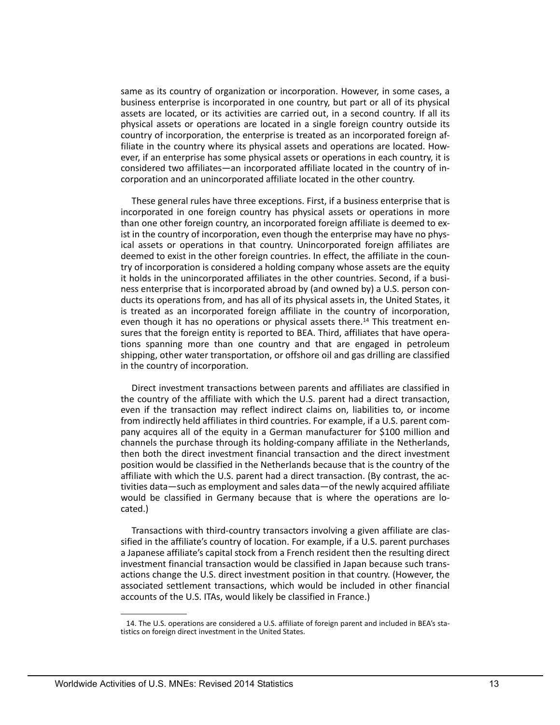ever, if an enterprise has some physical assets or operations in each country, it is same as its country of organization or incorporation. However, in some cases, a business enterprise is incorporated in one country, but part or all of its physical assets are located, or its activities are carried out, in a second country. If all its physical assets or operations are located in a single foreign country outside its country of incorporation, the enterprise is treated as an incorporated foreign affiliate in the country where its physical assets and operations are located. Howconsidered two affiliates—an incorporated affiliate located in the country of incorporation and an unincorporated affiliate located in the other country.

 tions spanning more than one country and that are engaged in petroleum These general rules have three exceptions. First, if a business enterprise that is incorporated in one foreign country has physical assets or operations in more than one other foreign country, an incorporated foreign affiliate is deemed to exist in the country of incorporation, even though the enterprise may have no physical assets or operations in that country. Unincorporated foreign affiliates are deemed to exist in the other foreign countries. In effect, the affiliate in the country of incorporation is considered a holding company whose assets are the equity it holds in the unincorporated affiliates in the other countries. Second, if a business enterprise that is incorporated abroad by (and owned by) a U.S. person conducts its operations from, and has all of its physical assets in, the United States, it is treated as an incorporated foreign affiliate in the country of incorporation, even though it has no operations or physical assets there.<sup>14</sup> This treatment ensures that the foreign entity is reported to BEA. Third, affiliates that have operashipping, other water transportation, or offshore oil and gas drilling are classified in the country of incorporation.

 the country of the affiliate with which the U.S. parent had a direct transaction, Direct investment transactions between parents and affiliates are classified in even if the transaction may reflect indirect claims on, liabilities to, or income from indirectly held affiliates in third countries. For example, if a U.S. parent company acquires all of the equity in a German manufacturer for \$100 million and channels the purchase through its holding-company affiliate in the Netherlands, then both the direct investment financial transaction and the direct investment position would be classified in the Netherlands because that is the country of the affiliate with which the U.S. parent had a direct transaction. (By contrast, the activities data—such as employment and sales data—of the newly acquired affiliate would be classified in Germany because that is where the operations are located.)

 accounts of the U.S. ITAs, would likely be classified in France.) Transactions with third-country transactors involving a given affiliate are classified in the affiliate's country of location. For example, if a U.S. parent purchases a Japanese affiliate's capital stock from a French resident then the resulting direct investment financial transaction would be classified in Japan because such transactions change the U.S. direct investment position in that country. (However, the associated settlement transactions, which would be included in other financial

<sup>14.</sup> The U.S. operations are considered a U.S. affiliate of foreign parent and included in BEA's statistics on foreign direct investment in the United States.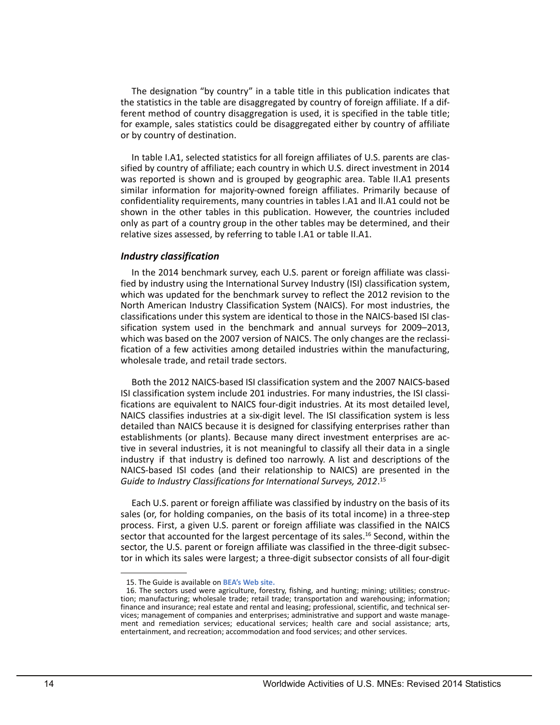The designation "by country" in a table title in this publication indicates that the statistics in the table are disaggregated by country of foreign affiliate. If a different method of country disaggregation is used, it is specified in the table title; for example, sales statistics could be disaggregated either by country of affiliate or by country of destination.

In table I.A1, selected statistics for all foreign affiliates of U.S. parents are classified by country of affiliate; each country in which U.S. direct investment in 2014 was reported is shown and is grouped by geographic area. Table II.A1 presents similar information for majority-owned foreign affiliates. Primarily because of confidentiality requirements, many countries in tables I.A1 and II.A1 could not be shown in the other tables in this publication. However, the countries included only as part of a country group in the other tables may be determined, and their relative sizes assessed, by referring to table I.A1 or table II.A1.

## *Industry classification*

 classifications under this system are identical to those in the NAICS-based ISI clas-In the 2014 benchmark survey, each U.S. parent or foreign affiliate was classified by industry using the International Survey Industry (ISI) classification system, which was updated for the benchmark survey to reflect the 2012 revision to the North American Industry Classification System (NAICS). For most industries, the sification system used in the benchmark and annual surveys for 2009–2013, which was based on the 2007 version of NAICS. The only changes are the reclassification of a few activities among detailed industries within the manufacturing, wholesale trade, and retail trade sectors.

 NAICS classifies industries at a six-digit level. The ISI classification system is less Both the 2012 NAICS-based ISI classification system and the 2007 NAICS-based ISI classification system include 201 industries. For many industries, the ISI classifications are equivalent to NAICS four-digit industries. At its most detailed level, detailed than NAICS because it is designed for classifying enterprises rather than establishments (or plants). Because many direct investment enterprises are active in several industries, it is not meaningful to classify all their data in a single industry if that industry is defined too narrowly. A list and descriptions of the NAICS-based ISI codes (and their relationship to NAICS) are presented in the *Guide to Industry Classifications for International Surveys, 2012*. 15

Each U.S. parent or foreign affiliate was classified by industry on the basis of its sales (or, for holding companies, on the basis of its total income) in a three-step process. First, a given U.S. parent or foreign affiliate was classified in the NAICS sector that accounted for the largest percentage of its sales.<sup>16</sup> Second, within the sector, the U.S. parent or foreign affiliate was classified in the three-digit subsector in which its sales were largest; a three-digit subsector consists of all four-digit

<sup>15.</sup> The Guide is available on **[BEA's Web site.](https://bea.gov/industry/pdf/2012_industry_code_guide.pdf)** 

<sup>16.</sup> The sectors used were agriculture, forestry, fishing, and hunting; mining; utilities; construction; manufacturing; wholesale trade; retail trade; transportation and warehousing; information; finance and insurance; real estate and rental and leasing; professional, scientific, and technical services; management of companies and enterprises; administrative and support and waste management and remediation services; educational services; health care and social assistance; arts, entertainment, and recreation; accommodation and food services; and other services.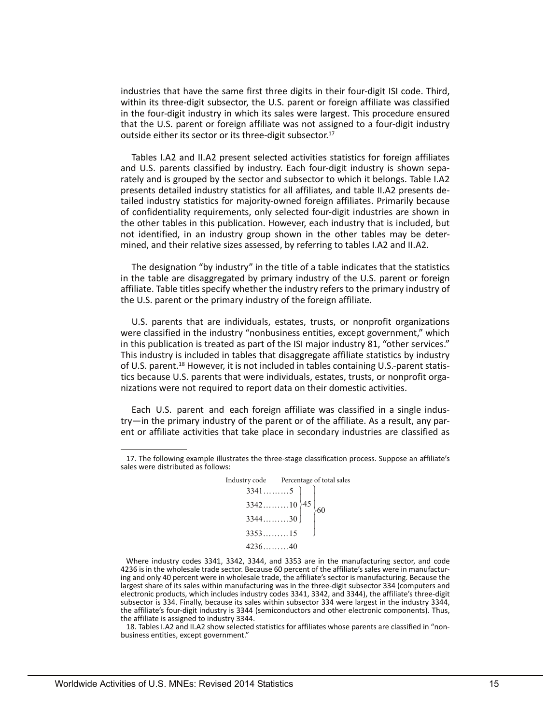industries that have the same first three digits in their four-digit ISI code. Third, within its three-digit subsector, the U.S. parent or foreign affiliate was classified in the four-digit industry in which its sales were largest. This procedure ensured that the U.S. parent or foreign affiliate was not assigned to a four-digit industry outside either its sector or its three-digit subsector.<sup>17</sup>

Tables I.A2 and II.A2 present selected activities statistics for foreign affiliates and U.S. parents classified by industry. Each four-digit industry is shown separately and is grouped by the sector and subsector to which it belongs. Table I.A2 presents detailed industry statistics for all affiliates, and table II.A2 presents detailed industry statistics for majority-owned foreign affiliates. Primarily because of confidentiality requirements, only selected four-digit industries are shown in the other tables in this publication. However, each industry that is included, but not identified, in an industry group shown in the other tables may be determined, and their relative sizes assessed, by referring to tables I.A2 and II.A2.

The designation "by industry" in the title of a table indicates that the statistics in the table are disaggregated by primary industry of the U.S. parent or foreign affiliate. Table titles specify whether the industry refers to the primary industry of the U.S. parent or the primary industry of the foreign affiliate.

 were classified in the industry "nonbusiness entities, except government," which U.S. parents that are individuals, estates, trusts, or nonprofit organizations in this publication is treated as part of the ISI major industry 81, "other services." This industry is included in tables that disaggregate affiliate statistics by industry of U.S. parent.18 However, it is not included in tables containing U.S.-parent statistics because U.S. parents that were individuals, estates, trusts, or nonprofit organizations were not required to report data on their domestic activities.

 Each U.S. parent and each foreign affiliate was classified in a single industry—in the primary industry of the parent or of the affiliate. As a result, any parent or affiliate activities that take place in secondary industries are classified as

 17. The following example illustrates the three-stage classification process. Suppose an affiliate's sales were distributed as follows:



Where industry codes 3341, 3342, 3344, and 3353 are in the manufacturing sector, and code 4236 is in the wholesale trade sector. Because 60 percent of the affiliate's sales were in manufacturing and only 40 percent were in wholesale trade, the affiliate's sector is manufacturing. Because the largest share of its sales within manufacturing was in the three-digit subsector 334 (computers and electronic products, which includes industry codes 3341, 3342, and 3344), the affiliate's three-digit subsector is 334. Finally, because its sales within subsector 334 were largest in the industry 3344, the affiliate's four-digit industry is 3344 (semiconductors and other electronic components). Thus, the affiliate is assigned to industry 3344.

18. Tables I.A2 and II.A2 show selected statistics for affiliates whose parents are classified in "nonbusiness entities, except government."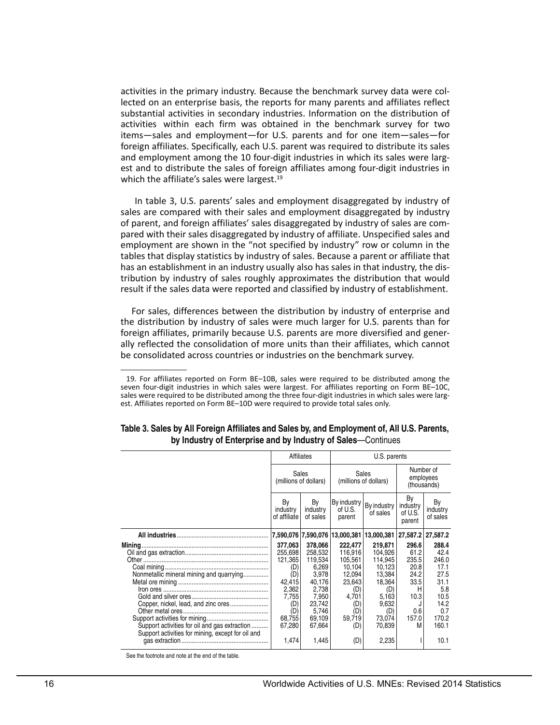activities in the primary industry. Because the benchmark survey data were collected on an enterprise basis, the reports for many parents and affiliates reflect substantial activities in secondary industries. Information on the distribution of activities within each firm was obtained in the benchmark survey for two items—sales and employment—for U.S. parents and for one item—sales—for foreign affiliates. Specifically, each U.S. parent was required to distribute its sales and employment among the 10 four-digit industries in which its sales were largest and to distribute the sales of foreign affiliates among four-digit industries in which the affiliate's sales were largest.<sup>19</sup>

 In table 3, U.S. parents' sales and employment disaggregated by industry of sales are compared with their sales and employment disaggregated by industry of parent, and foreign affiliates' sales disaggregated by industry of sales are compared with their sales disaggregated by industry of affiliate. Unspecified sales and employment are shown in the "not specified by industry" row or column in the tables that display statistics by industry of sales. Because a parent or affiliate that has an establishment in an industry usually also has sales in that industry, the distribution by industry of sales roughly approximates the distribution that would result if the sales data were reported and classified by industry of establishment.

For sales, differences between the distribution by industry of enterprise and the distribution by industry of sales were much larger for U.S. parents than for foreign affiliates, primarily because U.S. parents are more diversified and generally reflected the consolidation of more units than their affiliates, which cannot be consolidated across countries or industries on the benchmark survey.

|                                                                                                                                                                                       |                                                                                                           | Affiliates                                                                                                         |                                                                                                            |                                                                                                                 |                                                                                       |                                                                                                |
|---------------------------------------------------------------------------------------------------------------------------------------------------------------------------------------|-----------------------------------------------------------------------------------------------------------|--------------------------------------------------------------------------------------------------------------------|------------------------------------------------------------------------------------------------------------|-----------------------------------------------------------------------------------------------------------------|---------------------------------------------------------------------------------------|------------------------------------------------------------------------------------------------|
|                                                                                                                                                                                       | Sales<br>(millions of dollars)                                                                            |                                                                                                                    |                                                                                                            | Sales<br>(millions of dollars)                                                                                  |                                                                                       | Number of<br>employees<br>(thousands)                                                          |
|                                                                                                                                                                                       | By<br>industry<br>of affiliate                                                                            | By<br>industry<br>of sales                                                                                         | of U.S.<br>parent                                                                                          | By industry   By industry<br>of sales                                                                           | By<br>industry<br>of U.S.<br>parent                                                   | By<br>industry<br>of sales                                                                     |
|                                                                                                                                                                                       |                                                                                                           |                                                                                                                    |                                                                                                            | 7,590,076 7,590,076 13,000,381 13,000,381                                                                       |                                                                                       | 27,587.2 27,587.2                                                                              |
| Nonmetallic mineral mining and quarrying<br>Copper, nickel, lead, and zinc ores<br>Support activities for oil and gas extraction<br>Support activities for mining, except for oil and | 377,063<br>255,698<br>121,365<br>(D)<br>(D)<br>42.415<br>2,362<br>7,755<br>(D)<br>(D)<br>68.755<br>67,280 | 378,066<br>258,532<br>119,534<br>6.269<br>3,978<br>40.176<br>2,738<br>7,950<br>23,742<br>5.746<br>69,109<br>67,664 | 222,477<br>116.916<br>105,561<br>10,104<br>12,094<br>23,643<br>(D)<br>4,701<br>(D)<br>(D)<br>59,719<br>(D) | 219,871<br>104.926<br>114,945<br>10,123<br>13,384<br>18,364<br>(D)<br>5,163<br>9,632<br>(D)<br>73.074<br>70,839 | 296.6<br>61.2<br>235.5<br>20.8<br>24.2<br>33.5<br>Н<br>10.3<br>J<br>0.6<br>157.0<br>М | 288.4<br>42.4<br>246.0<br>17.1<br>27.5<br>31.1<br>5.8<br>10.5<br>14.2<br>0.7<br>170.2<br>160.1 |
|                                                                                                                                                                                       | 1.474                                                                                                     | 1.445                                                                                                              | (D)                                                                                                        | 2,235                                                                                                           |                                                                                       | 10.1                                                                                           |

| Table 3. Sales by All Foreign Affiliates and Sales by, and Employment of, All U.S. Parents, |
|---------------------------------------------------------------------------------------------|
| by Industry of Enterprise and by Industry of Sales–Continues                                |

<sup>19.</sup> For affiliates reported on Form BE–10B, sales were required to be distributed among the seven four-digit industries in which sales were largest. For affiliates reporting on Form BE–10C, sales were required to be distributed among the three four-digit industries in which sales were largest. Affiliates reported on Form BE–10D were required to provide total sales only.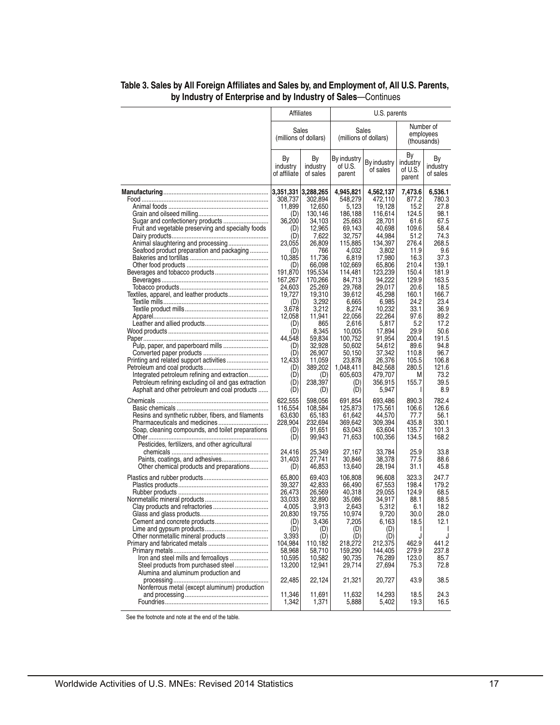|                                                                                                     |                                | Affiliates<br>U.S. parents     |                                  |                         |                                     |                            |  |
|-----------------------------------------------------------------------------------------------------|--------------------------------|--------------------------------|----------------------------------|-------------------------|-------------------------------------|----------------------------|--|
|                                                                                                     |                                | Sales<br>(millions of dollars) | Sales                            | (millions of dollars)   | employees<br>(thousands)            | Number of                  |  |
|                                                                                                     | Вy<br>industry<br>of affiliate | Bγ<br>industry<br>of sales     | By industry<br>of U.S.<br>parent | By industry<br>of sales | By<br>industry<br>of U.S.<br>parent | Bγ<br>industry<br>of sales |  |
|                                                                                                     | 3,351,331 3,288,265            |                                | 4,945,821                        | 4,562,137               | 7,473.6<br>877.2                    | 6,536.1<br>780.3           |  |
|                                                                                                     | 308,737<br>11,899              | 302,894<br>12,650              | 548,279<br>5,123                 | 472,110<br>19,128       | 15.2                                | 27.8                       |  |
|                                                                                                     | (D)                            | 130,146                        | 186,188                          | 116,614                 | 124.5                               | 98.1                       |  |
| Sugar and confectionery products                                                                    | 36,200                         | 34,103                         | 25,663                           | 28,701                  | 61.6                                | 67.5                       |  |
| Fruit and vegetable preserving and specialty foods                                                  | (D)<br>(D)                     | 12,965<br>7,622                | 69,143<br>32,757                 | 40.698<br>44,984        | 109.6<br>51.2                       | 58.4<br>74.3               |  |
| Animal slaughtering and processing                                                                  | 23,055                         | 26,809                         | 115,885                          | 134,397                 | 276.4                               | 268.5                      |  |
| Seafood product preparation and packaging                                                           | (D)                            | 766                            | 4,032                            | 3,802                   | 11.9                                | 9.6                        |  |
|                                                                                                     | 10,385                         | 11,736                         | 6,819                            | 17,980                  | 16.3                                | 37.3                       |  |
|                                                                                                     | (D)<br>191,870                 | 66,098<br>195,534              | 102,669<br>114,481               | 65,806<br>123,239       | 210.4<br>150.4                      | 139.1<br>181.9             |  |
|                                                                                                     | 167,267                        | 170,266                        | 84,713                           | 94,222                  | 129.9                               | 163.5                      |  |
|                                                                                                     | 24,603                         | 25,269                         | 29,768                           | 29,017                  | 20.6                                | 18.5                       |  |
| Textiles, apparel, and leather products                                                             | 19,727                         | 19,310                         | 39,612                           | 45,298                  | 160.1                               | 166.7                      |  |
|                                                                                                     | (D)<br>3,678                   | 3,292<br>3,212                 | 6,665<br>8,274                   | 6,985<br>10,232         | 24.2<br>33.1                        | 23.4<br>36.9               |  |
|                                                                                                     | 12,058                         | 11.941                         | 22.056                           | 22,264                  | 97.6                                | 89.2                       |  |
|                                                                                                     | (D)                            | 865                            | 2,616                            | 5,817                   | 5.2                                 | 17.2                       |  |
|                                                                                                     | (D)                            | 8,345                          | 10,005                           | 17,894                  | 29.9                                | 50.6                       |  |
|                                                                                                     | 44,548<br>(D)                  | 59,834<br>32,928               | 100,752<br>50,602                | 91.954<br>54,612        | 200.4<br>89.6                       | 191.5<br>94.8              |  |
|                                                                                                     | (D)                            | 26,907                         | 50,150                           | 37,342                  | 110.8                               | 96.7                       |  |
| Printing and related support activities                                                             | 12,433                         | 11,059                         | 23,878                           | 26,376                  | 105.5                               | 106.8                      |  |
|                                                                                                     | (D)                            | 389,202                        | 1,048,411                        | 842,568                 | 280.5                               | 121.6                      |  |
| Integrated petroleum refining and extraction<br>Petroleum refining excluding oil and gas extraction | (D)<br>(D)                     | (D)<br>238,397                 | 605,603<br>(D)                   | 479,707<br>356,915      | М<br>155.7                          | 73.2<br>39.5               |  |
| Asphalt and other petroleum and coal products                                                       | (D)                            | (D)                            | (D)                              | 5,947                   | L                                   | 8.9                        |  |
|                                                                                                     | 622,555                        | 598,056                        | 691,854                          | 693,486                 | 890.3                               | 782.4                      |  |
|                                                                                                     | 116,554                        | 108,584                        | 125,873                          | 175,561                 | 106.6                               | 126.6                      |  |
| Resins and synthetic rubber, fibers, and filaments                                                  | 63,630                         | 65,183                         | 61,642                           | 44,570                  | 77.7                                | 56.1                       |  |
|                                                                                                     | 228,904                        | 232,694                        | 369,642                          | 309,394                 | 435.8<br>135.7                      | 330.1<br>101.3             |  |
| Soap, cleaning compounds, and toilet preparations                                                   | (D)<br>(D)                     | 91,651<br>99,943               | 63,043<br>71,653                 | 63,604<br>100,356       | 134.5                               | 168.2                      |  |
| Pesticides, fertilizers, and other agricultural                                                     |                                |                                |                                  |                         |                                     |                            |  |
|                                                                                                     | 24,416                         | 25,349                         | 27,167                           | 33,784                  | 25.9                                | 33.8                       |  |
| Other chemical products and preparations                                                            | 31,403<br>(D)                  | 27,741<br>46,853               | 30,846<br>13,640                 | 38,378<br>28,194        | 77.5<br>31.1                        | 88.6<br>45.8               |  |
|                                                                                                     | 65,800                         | 69,403                         | 106.808                          | 96,608                  | 323.3                               | 247.7                      |  |
|                                                                                                     | 39,327                         | 42,833                         | 66,490                           | 67,553                  | 198.4                               | 179.2                      |  |
|                                                                                                     | 26,473                         | 26,569                         | 40,318                           | 29,055                  | 124.9                               | 68.5                       |  |
|                                                                                                     | 33,033                         | 32,890                         | 35,086                           | 34,917                  | 88.1                                | 88.5                       |  |
|                                                                                                     | 4,005<br>20,830                | 3,913<br>19,755                | 2,643<br>10,974                  | 5,312<br>9,720          | 6.1<br>30.0                         | 18.2<br>28.0               |  |
|                                                                                                     | (D)                            | 3,436                          | 7,205                            | 6,163                   | 18.5                                | 12.1                       |  |
|                                                                                                     | (D)                            | (D)                            | (D)                              | (D)                     | L                                   |                            |  |
|                                                                                                     | 3.393                          | (D)<br>110,182                 | (D)                              | (D)                     | J<br>462.9                          | J                          |  |
|                                                                                                     | 104,984<br>58,968              | 58,710                         | 218,272<br>159,290               | 212,375<br>144,405      | 279.9                               | 441.2<br>237.8             |  |
| Iron and steel mills and ferroalloys                                                                | 10,595                         | 10,582                         | 90,735                           | 76.289                  | 123.0                               | 85.7                       |  |
| Steel products from purchased steel                                                                 | 13,200                         | 12,941                         | 29,714                           | 27,694                  | 75.3                                | 72.8                       |  |
| Alumina and aluminum production and                                                                 | 22,485                         | 22,124                         |                                  | 20,727                  | 43.9                                | 38.5                       |  |
| Nonferrous metal (except aluminum) production                                                       |                                |                                | 21,321                           |                         |                                     |                            |  |
|                                                                                                     | 11,346                         | 11,691                         | 11,632                           | 14,293                  | 18.5                                | 24.3                       |  |
|                                                                                                     | 1,342                          | 1,371                          | 5,888                            | 5,402                   | 19.3                                | 16.5                       |  |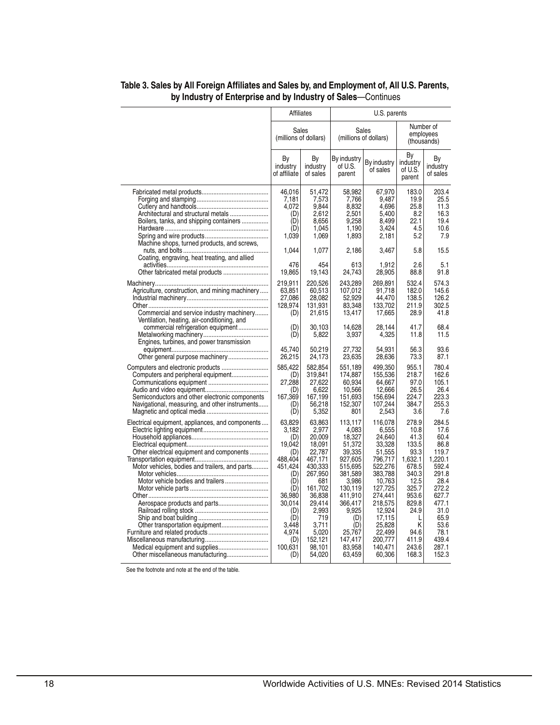|                                                                                                                                                                                                                           | Affiliates                                                                                                                                                      |                                                                                                                                                                                       | U.S. parents                                                                                                                                                                              |                                                                                                                                                                                                    |                                                                                                                                                             |                                                                                                                                                                   |
|---------------------------------------------------------------------------------------------------------------------------------------------------------------------------------------------------------------------------|-----------------------------------------------------------------------------------------------------------------------------------------------------------------|---------------------------------------------------------------------------------------------------------------------------------------------------------------------------------------|-------------------------------------------------------------------------------------------------------------------------------------------------------------------------------------------|----------------------------------------------------------------------------------------------------------------------------------------------------------------------------------------------------|-------------------------------------------------------------------------------------------------------------------------------------------------------------|-------------------------------------------------------------------------------------------------------------------------------------------------------------------|
|                                                                                                                                                                                                                           | Sales<br>(millions of dollars)                                                                                                                                  |                                                                                                                                                                                       |                                                                                                                                                                                           | Sales<br>(millions of dollars)                                                                                                                                                                     |                                                                                                                                                             | Number of<br>employees<br>(thousands)                                                                                                                             |
|                                                                                                                                                                                                                           | By<br>industry<br>of affiliate                                                                                                                                  | By<br>industry<br>of sales                                                                                                                                                            | By industry<br>of U.S.<br>parent                                                                                                                                                          | By industry<br>of sales                                                                                                                                                                            | By<br>industry<br>of U.S.<br>parent                                                                                                                         | Βy<br>industry<br>of sales                                                                                                                                        |
| Architectural and structural metals<br>Boilers, tanks, and shipping containers<br>Machine shops, turned products, and screws,                                                                                             | 46.016<br>7,181<br>4.072<br>(D)<br>(D)<br>(D)<br>1,039                                                                                                          | 51,472<br>7,573<br>9.844<br>2.612<br>8,656<br>1,045<br>1,069                                                                                                                          | 58,982<br>7,766<br>8,832<br>2,501<br>9,258<br>1,190<br>1,893                                                                                                                              | 67,970<br>9.487<br>4,696<br>5,400<br>8,499<br>3,424<br>2,181                                                                                                                                       | 183.0<br>19.9<br>25.8<br>8.2<br>22.1<br>4.5<br>5.2                                                                                                          | 203.4<br>25.5<br>11.3<br>16.3<br>19.4<br>10.6<br>7.9                                                                                                              |
| Coating, engraving, heat treating, and allied                                                                                                                                                                             | 1,044                                                                                                                                                           | 1,077                                                                                                                                                                                 | 2,186                                                                                                                                                                                     | 3,467                                                                                                                                                                                              | 5.8                                                                                                                                                         | 15.5                                                                                                                                                              |
|                                                                                                                                                                                                                           | 476<br>19,865                                                                                                                                                   | 454<br>19,143                                                                                                                                                                         | 613<br>24,743                                                                                                                                                                             | 1,912<br>28,905                                                                                                                                                                                    | 2.6<br>88.8                                                                                                                                                 | 5.1<br>91.8                                                                                                                                                       |
| Agriculture, construction, and mining machinery<br>Commercial and service industry machinery<br>Ventilation, heating, air-conditioning, and                                                                               | 219,911<br>63,851<br>27,086<br>128,974<br>(D)                                                                                                                   | 220,526<br>60,513<br>28,082<br>131,931<br>21,615                                                                                                                                      | 243,289<br>107,012<br>52,929<br>83,348<br>13,417                                                                                                                                          | 269,891<br>91,718<br>44,470<br>133,702<br>17,665                                                                                                                                                   | 532.4<br>182.0<br>138.5<br>211.9<br>28.9                                                                                                                    | 574.3<br>145.6<br>126.2<br>302.5<br>41.8                                                                                                                          |
| commercial refrigeration equipment<br>Engines, turbines, and power transmission                                                                                                                                           | (D)<br>(D)                                                                                                                                                      | 30,103<br>5,822                                                                                                                                                                       | 14,628<br>3,937                                                                                                                                                                           | 28,144<br>4,325                                                                                                                                                                                    | 41.7<br>11.8                                                                                                                                                | 68.4<br>11.5                                                                                                                                                      |
|                                                                                                                                                                                                                           | 45.740<br>26,215                                                                                                                                                | 50,219<br>24,173                                                                                                                                                                      | 27,732<br>23,635                                                                                                                                                                          | 54,931<br>28,636                                                                                                                                                                                   | 56.3<br>73.3                                                                                                                                                | 93.6<br>87.1                                                                                                                                                      |
| Computers and peripheral equipment<br>Semiconductors and other electronic components<br>Navigational, measuring, and other instruments                                                                                    | 585,422<br>(D)<br>27,288<br>(D)<br>167,369<br>(D)<br>(D)                                                                                                        | 582,854<br>319,841<br>27,622<br>6,622<br>167,199<br>56,218<br>5,352                                                                                                                   | 551,189<br>174.887<br>60,934<br>10,566<br>151,693<br>152,307<br>801                                                                                                                       | 499,350<br>155.536<br>64,667<br>12,666<br>156,694<br>107,244<br>2,543                                                                                                                              | 955.1<br>218.7<br>97.0<br>26.5<br>224.7<br>384.7<br>3.6                                                                                                     | 780.4<br>162.6<br>105.1<br>26.4<br>223.3<br>255.3<br>7.6                                                                                                          |
| Electrical equipment, appliances, and components<br>Other electrical equipment and components<br>Motor vehicles, bodies and trailers, and parts<br>Motor vehicle bodies and trailers<br>Other miscellaneous manufacturing | 63,829<br>3,182<br>(D)<br>19,042<br>(D)<br>488,404<br>451,424<br>(D)<br>(D)<br>(D)<br>36,980<br>30.014<br>(D)<br>(D)<br>3.448<br>4,974<br>(D)<br>100.631<br>(D) | 63,863<br>2,977<br>20,009<br>18,091<br>22,787<br>467,171<br>430,333<br>267,950<br>681<br>161,702<br>36,838<br>29,414<br>2,993<br>719<br>3,711<br>5,020<br>152,121<br>98,101<br>54,020 | 113,117<br>4,083<br>18,327<br>51,372<br>39,335<br>927,605<br>515,695<br>381,589<br>3,986<br>130,119<br>411,910<br>366.417<br>9,925<br>(D)<br>(D)<br>25,767<br>147.417<br>83.958<br>63,459 | 116,078<br>6,555<br>24,640<br>33,328<br>51,555<br>796,717<br>522,276<br>383,788<br>10,763<br>127,725<br>274,441<br>218,575<br>12,924<br>17,115<br>25,828<br>22,499<br>200.777<br>140.471<br>60,306 | 278.9<br>10.8<br>41.3<br>133.5<br>93.3<br>1,632.1<br>678.5<br>340.3<br>12.5<br>325.7<br>953.6<br>829.8<br>24.9<br>L<br>Κ<br>94.6<br>411.9<br>243.6<br>168.3 | 284.5<br>17.6<br>60.4<br>86.8<br>119.7<br>1.220.1<br>592.4<br>291.8<br>28.4<br>272.2<br>627.7<br>477.1<br>31.0<br>65.9<br>53.6<br>78.1<br>439.4<br>287.1<br>152.3 |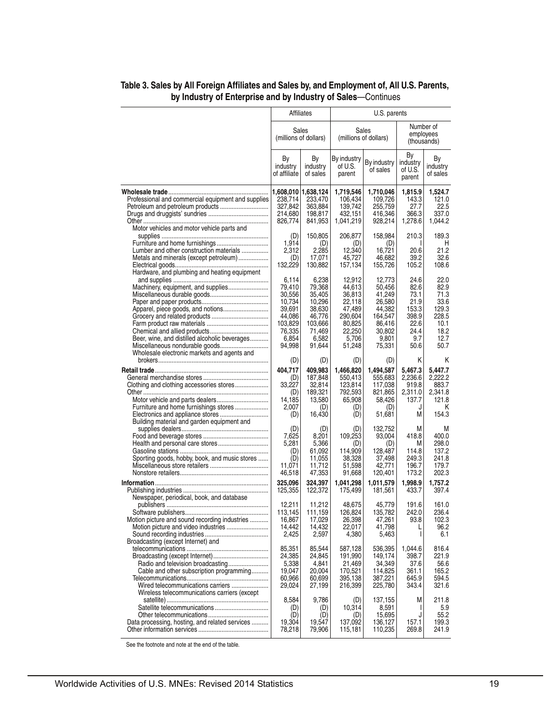|                                                                                                                                                                                    | Affiliates                                                                                      |                                                                                                 | U.S. parents                                                                                     |                                                                                                  |                                                                               |                                                                                |
|------------------------------------------------------------------------------------------------------------------------------------------------------------------------------------|-------------------------------------------------------------------------------------------------|-------------------------------------------------------------------------------------------------|--------------------------------------------------------------------------------------------------|--------------------------------------------------------------------------------------------------|-------------------------------------------------------------------------------|--------------------------------------------------------------------------------|
|                                                                                                                                                                                    | Sales<br>(millions of dollars)                                                                  |                                                                                                 | Sales<br>(millions of dollars)                                                                   |                                                                                                  |                                                                               | Number of<br>employees<br>(thousands)                                          |
|                                                                                                                                                                                    | By<br>industry<br>of affiliate                                                                  | By<br>industry<br>of sales                                                                      | By industry<br>of U.S.<br>parent                                                                 | By industry<br>of sales                                                                          | Bу<br>industry<br>of U.S.<br>parent                                           | By<br>industry<br>of sales                                                     |
| Professional and commercial equipment and supplies<br>Motor vehicles and motor vehicle parts and                                                                                   | 1,608,010<br>238,714<br>327,842<br>214,680<br>826,774                                           | 1,638,124<br>233,470<br>363,884<br>198,817<br>841,953                                           | 1,719,546<br>106,434<br>139,742<br>432,151<br>1,041,219                                          | 1,710,046<br>109.726<br>255,759<br>416,346<br>928,214                                            | 1,815.9<br>143.3<br>27.7<br>366.3<br>1,278.6                                  | 1,524.7<br>121.0<br>22.5<br>337.0<br>1,044.2                                   |
| Lumber and other construction materials<br>Metals and minerals (except petroleum)                                                                                                  | (D)<br>1,914<br>2,312<br>(D)<br>132,229                                                         | 150,805<br>(D)<br>2,285<br>17,071<br>130,882                                                    | 206,877<br>(D)<br>12,340<br>45,727<br>157,134                                                    | 158,984<br>(D)<br>16,721<br>46,682<br>155,726                                                    | 210.3<br>I<br>20.6<br>39.2<br>105.2                                           | 189.3<br>H<br>21.2<br>32.6<br>108.6                                            |
| Hardware, and plumbing and heating equipment<br>Machinery, equipment, and supplies<br>Beer, wine, and distilled alcoholic beverages<br>Wholesale electronic markets and agents and | 6,114<br>79,410<br>30,556<br>10,734<br>39,691<br>44,086<br>103,829<br>76,335<br>6,854<br>94,998 | 6,238<br>79,368<br>35,405<br>10,296<br>38.630<br>46,776<br>103,666<br>71,469<br>6,582<br>91,644 | 12,912<br>44,613<br>36,813<br>22,118<br>47,489<br>290,604<br>80,825<br>22,250<br>5,706<br>51,248 | 12,773<br>50,456<br>41,249<br>26,580<br>44,382<br>164,547<br>86,416<br>30,802<br>9,801<br>75,331 | 24.6<br>82.6<br>73.1<br>21.9<br>153.3<br>398.9<br>22.6<br>24.4<br>9.7<br>50.6 | 22.0<br>82.9<br>71.3<br>33.6<br>129.3<br>228.5<br>10.1<br>18.2<br>12.7<br>50.7 |
| Clothing and clothing accessories stores<br>Furniture and home furnishings stores                                                                                                  | (D)<br>404.717<br>(D)<br>33,227<br>(D)<br>14,185<br>2,007<br>(D)                                | (D)<br>409,983<br>187,848<br>32,814<br>189,321<br>13,580<br>(D)<br>16,430                       | (D)<br>1,466,820<br>550,413<br>123,814<br>792,593<br>65,908<br>(D)<br>(D)                        | (D)<br>1,494,587<br>555,683<br>117,038<br>821,865<br>58,426<br>(D)<br>51,681                     | Κ<br>5,467.3<br>2,236.6<br>919.8<br>2,311.0<br>137.7<br>J<br>M                | Κ<br>5,447.7<br>2,222.2<br>883.7<br>2,341.8<br>121.8<br>Κ<br>154.3             |
| Building material and garden equipment and<br>Sporting goods, hobby, book, and music stores                                                                                        | (D)<br>7,625<br>5,281<br>(D)<br>(D)<br>11,071<br>46,518<br>325,096<br>125,355                   | (D)<br>8,201<br>5,366<br>61,092<br>11,055<br>11,712<br>47,353<br>324,397<br>122,372             | (D)<br>109,253<br>(D)<br>114,909<br>38,328<br>51,598<br>91,668<br>1,041,298<br>175,499           | 132,752<br>93,004<br>(D)<br>128,487<br>37,498<br>42,771<br>120,401<br>1,011,579<br>181,561       | M<br>418.8<br>М<br>114.8<br>249.3<br>196.7<br>173.2<br>1,998.9<br>433.7       | M<br>400.0<br>298.0<br>137.2<br>241.8<br>179.7<br>202.3<br>1,757.2<br>397.4    |
| Newspaper, periodical, book, and database<br>Motion picture and sound recording industries                                                                                         | 12,211<br>113,145<br>16,867<br>14,442<br>2.425                                                  | 11,212<br>111,159<br>17,029<br>14,432<br>2,597                                                  | 48.675<br>126,824<br>26,398<br>22,017<br>4,380                                                   | 45,779<br>135,782<br>47,261<br>41,798<br>5,463                                                   | 191.6<br>242.0<br>93.8<br>L<br>$\mathsf{I}$                                   | 161.0<br>236.4<br>102.3<br>96.2<br>6.1                                         |
| Broadcasting (except Internet) and<br>Cable and other subscription programming<br>Wired telecommunications carriers                                                                | 85,351<br>24,385<br>5,338<br>19,047<br>60.966<br>29,024                                         | 85,544<br>24,845<br>4,841<br>20,004<br>60,699<br>27,199                                         | 587,128<br>191,990<br>21,469<br>170,521<br>395,138<br>216,399                                    | 536,395<br>149,174<br>34.349<br>114,825<br>387,221<br>225,780                                    | 1,044.6<br>398.7<br>37.6<br>361.1<br>645.9<br>343.4                           | 816.4<br>221.9<br>56.6<br>165.2<br>594.5<br>321.6                              |
| Wireless telecommunications carriers (except<br>Data processing, hosting, and related services                                                                                     | 8,584<br>(D)<br>(D)<br>19,304<br>78,218                                                         | 9,786<br>(D)<br>(D)<br>19,547<br>79,906                                                         | (D)<br>10,314<br>(D)<br>137,092<br>115,181                                                       | 137,155<br>8,591<br>15,695<br>136,127<br>110,235                                                 | М<br>I.<br>J<br>157.1<br>269.8                                                | 211.8<br>5.9<br>55.2<br>199.3<br>241.9                                         |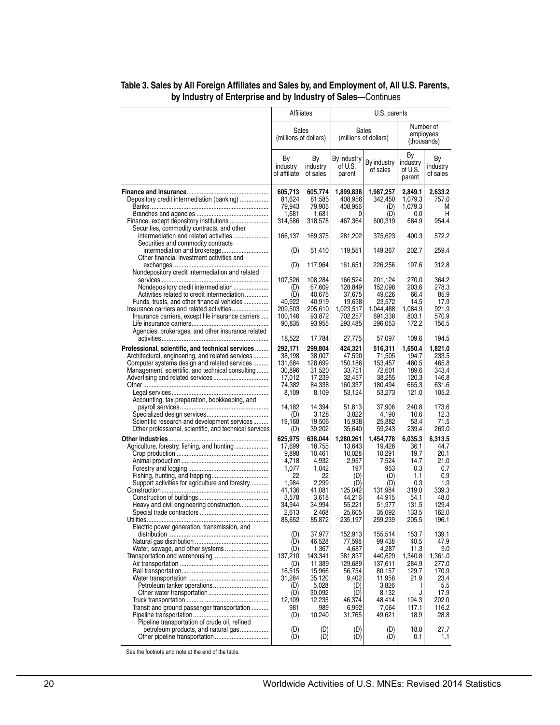|                                                                                                        | Affiliates                     |                                | U.S. parents                     |                                |                                       |                            |  |
|--------------------------------------------------------------------------------------------------------|--------------------------------|--------------------------------|----------------------------------|--------------------------------|---------------------------------------|----------------------------|--|
|                                                                                                        |                                | Sales<br>(millions of dollars) |                                  | Sales<br>(millions of dollars) | Number of<br>employees<br>(thousands) |                            |  |
|                                                                                                        | By<br>industry<br>of affiliate | By<br>industry<br>of sales     | By industry<br>of U.S.<br>parent | By industry<br>of sales        | Вy<br>industry<br>of U.S.<br>parent   | Bγ<br>industry<br>of sales |  |
|                                                                                                        | 605,713                        | 605,774                        | 1,899,838                        | 1,987,257                      | 2,849.1                               | 2,633.2                    |  |
| Depository credit intermediation (banking)                                                             | 81,624<br>79,943               | 81,585<br>79,905               | 408,956<br>408,956               | 342,450<br>(D)                 | 1,079.3<br>1,079.3                    | 757.0<br>M                 |  |
|                                                                                                        | 1,681                          | 1,681                          | 0                                | (D)                            | 0.0                                   | н                          |  |
|                                                                                                        | 314,586                        | 318,578                        | 467,364                          | 600,319                        | 684.9                                 | 954.4                      |  |
| Securities, commodity contracts, and other<br>intermediation and related activities                    | 166,137                        | 169,375                        | 281,202                          | 375,623                        | 400.3                                 | 572.2                      |  |
| Securities and commodity contracts                                                                     |                                |                                |                                  |                                |                                       |                            |  |
| intermediation and brokerage                                                                           | (D)                            | 51,410                         | 119,551                          | 149,367                        | 202.7                                 | 259.4                      |  |
| Other financial investment activities and                                                              | (D)                            | 117,964                        | 161,651                          | 226,256                        | 197.6                                 | 312.8                      |  |
| Nondepository credit intermediation and related                                                        |                                |                                |                                  |                                |                                       |                            |  |
|                                                                                                        | 107,526                        | 108,284                        | 166,524                          | 201,124                        | 270.0                                 | 364.2                      |  |
| Nondepository credit intermediation<br>Activities related to credit intermediation                     | (D)<br>(D)                     | 67,609<br>40,675               | 128.849<br>37,675                | 152.098<br>49,026              | 203.6<br>66.4                         | 278.3<br>85.9              |  |
| Funds, trusts, and other financial vehicles                                                            | 40,922                         | 40,919                         | 19,638                           | 23,572                         | 14.5                                  | 17.9                       |  |
| Insurance carriers and related activities                                                              | 209,503                        | 205,610                        | 1,023,517                        | 1,044,488                      | 1,084.9                               | 921.9                      |  |
| Insurance carriers, except life insurance carriers                                                     | 100,146                        | 93,872                         | 702,257                          | 691,338                        | 803.1                                 | 570.9                      |  |
|                                                                                                        | 90,835                         | 93,955                         | 293,485                          | 296,053                        | 172.2                                 | 156.5                      |  |
| Agencies, brokerages, and other insurance related                                                      | 18,522                         | 17,784                         | 27,775                           | 57,097                         | 109.6                                 | 194.5                      |  |
| Professional, scientific, and technical services                                                       | 292,171                        | 299,804                        | 424,321                          | 516,311                        | 1.650.4                               | 1,821.0                    |  |
| Architectural, engineering, and related services                                                       | 38,198                         | 38,007                         | 47,590                           | 71,505                         | 194.7                                 | 233.5                      |  |
| Computer systems design and related services                                                           | 131,684                        | 128,699                        | 150,186                          | 153,457                        | 480.5                                 | 465.8                      |  |
| Management, scientific, and technical consulting                                                       | 30,896                         | 31,520                         | 33,751                           | 72,601                         | 189.6                                 | 343.4                      |  |
| Advertising and related services                                                                       | 17,012<br>74,382               | 17,239<br>84,338               | 32,457<br>160,337                | 38,255<br>180,494              | 120.3<br>665.3                        | 146.8<br>631.6             |  |
|                                                                                                        | 8,109                          | 8,109                          | 53,124                           | 53,273                         | 121.0                                 | 105.2                      |  |
| Accounting, tax preparation, bookkeeping, and                                                          |                                |                                |                                  |                                |                                       |                            |  |
|                                                                                                        | 14,182                         | 14,394                         | 51,813                           | 37,906                         | 240.8                                 | 173.6                      |  |
|                                                                                                        | (D)                            | 3,128                          | 3,822                            | 4,190                          | 10.6                                  | 12.3                       |  |
| Scientific research and development services<br>Other professional, scientific, and technical services | 19,168<br>(D)                  | 19,506<br>39,202               | 15,938<br>35,640                 | 25,882<br>59,243               | 53.4<br>239.4                         | 71.5<br>269.0              |  |
|                                                                                                        | 625,975                        | 638,044                        | 1,280,261                        | 1,454,778                      | 6,035.3                               | 6,313.5                    |  |
| Agriculture, forestry, fishing, and hunting                                                            | 17,699                         | 18,755                         | 13,643                           | 19,426                         | 36.1                                  | 44.7                       |  |
|                                                                                                        | 9,898                          | 10,461                         | 10,028                           | 10,291                         | 19.7                                  | 20.1                       |  |
|                                                                                                        | 4,718                          | 4,932                          | 2,957                            | 7,524                          | 14.7                                  | 21.0                       |  |
|                                                                                                        | 1,077                          | 1,042                          | 197                              | 953                            | 0.3                                   | 0.7                        |  |
| Support activities for agriculture and forestry                                                        | 22<br>1,984                    | 22<br>2,299                    | (D)<br>(D)                       | (D)<br>(D)                     | 1.1<br>0.3                            | 0.9<br>1.9                 |  |
|                                                                                                        | 41,136                         | 41,081                         | 125,042                          | 131,984                        | 319.0                                 | 339.3                      |  |
|                                                                                                        | 3,578                          | 3,618                          | 44,216                           | 44,915                         | 54.1                                  | 48.0                       |  |
| Heavy and civil engineering construction                                                               | 34,944                         | 34,994                         | 55,221                           | 51,977                         | 131.5                                 | 129.4                      |  |
|                                                                                                        | 2,613                          | 2,468                          | 25,605                           | 35,092                         | 133.5                                 | 162.0                      |  |
| Electric power generation, transmission, and                                                           | 88,652                         | 85,872                         | 235,197                          | 259,239                        | 205.5                                 | 196.1                      |  |
|                                                                                                        | (D)                            | 37,977                         | 152,913                          | 155,514                        | 153.7                                 | 139.1                      |  |
|                                                                                                        | (D)                            | 46,528                         | 77,598                           | 99,438                         | 40.5                                  | 47.9                       |  |
| Water, sewage, and other systems                                                                       | (D)                            | 1,367                          | 4,687                            | 4,287                          | 11.3                                  | 9.0                        |  |
|                                                                                                        | 137,210<br>(D)                 | 143,341<br>11,389              | 381,837<br>129,689               | 440,629<br>137,611             | 1,340.8<br>284.9                      | 1,361.0<br>277.0           |  |
|                                                                                                        | 16,515                         | 15,966                         | 56,754                           | 80,157                         | 129.7                                 | 170.9                      |  |
|                                                                                                        | 31,284                         | 35,120                         | 9,402                            | 11,958                         | 21.9                                  | 23.4                       |  |
|                                                                                                        | (D)                            | 5,028                          | (D)                              | 3,826                          |                                       | 5.5                        |  |
|                                                                                                        | (D)<br>12.109                  | 30,092<br>12,235               | (D)<br>46,374                    | 8,132<br>48,414                | J<br>194.3                            | 17.9<br>202.0              |  |
| Transit and ground passenger transportation                                                            | 981                            | 989                            | 6,992                            | 7,064                          | 117.1                                 | 116.2                      |  |
|                                                                                                        | (D)                            | 10,240                         | 31,765                           | 49,621                         | 18.9                                  | 28.8                       |  |
| Pipeline transportation of crude oil, refined                                                          |                                |                                |                                  |                                |                                       |                            |  |
| petroleum products, and natural gas                                                                    | (D)<br>(D)                     | (D)<br>(D)                     | (D)                              | (D)<br>(D)                     | 18.8                                  | 27.7                       |  |
|                                                                                                        |                                |                                | (D)                              |                                | 0.1                                   | 1.1                        |  |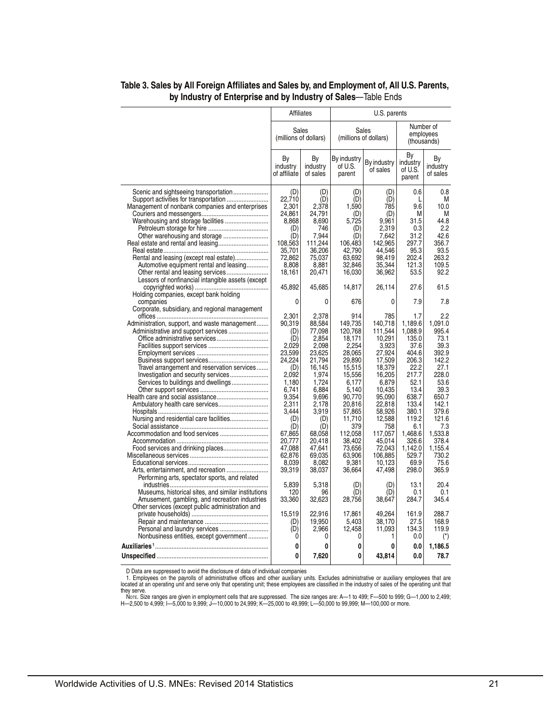|                                                                                                                                                                                                                                         |                                                                                                                                                                                                  | <b>Affiliates</b>                                                                                                                                                                                        | U.S. parents                                                                                                                                                                                                      |                                                                                                                                                                                                                      |                                                                                                                                                                                                   |                                                                                                                                                                                                |
|-----------------------------------------------------------------------------------------------------------------------------------------------------------------------------------------------------------------------------------------|--------------------------------------------------------------------------------------------------------------------------------------------------------------------------------------------------|----------------------------------------------------------------------------------------------------------------------------------------------------------------------------------------------------------|-------------------------------------------------------------------------------------------------------------------------------------------------------------------------------------------------------------------|----------------------------------------------------------------------------------------------------------------------------------------------------------------------------------------------------------------------|---------------------------------------------------------------------------------------------------------------------------------------------------------------------------------------------------|------------------------------------------------------------------------------------------------------------------------------------------------------------------------------------------------|
|                                                                                                                                                                                                                                         | Sales<br>(millions of dollars)                                                                                                                                                                   |                                                                                                                                                                                                          | Sales<br>(millions of dollars)                                                                                                                                                                                    |                                                                                                                                                                                                                      | Number of<br>employees<br>(thousands)                                                                                                                                                             |                                                                                                                                                                                                |
|                                                                                                                                                                                                                                         | By<br>industry<br>of affiliate                                                                                                                                                                   | Βy<br>industry<br>of sales                                                                                                                                                                               | By industry<br>of U.S.<br>parent                                                                                                                                                                                  | By industry<br>of sales                                                                                                                                                                                              | By<br>industry<br>of U.S.<br>parent                                                                                                                                                               | By<br>industry<br>of sales                                                                                                                                                                     |
| Management of nonbank companies and enterprises<br>Other warehousing and storage<br>Rental and leasing (except real estate)<br>Automotive equipment rental and leasing<br>Lessors of nonfinancial intangible assets (except             | (D)<br>22.710<br>2,301<br>24,861<br>8,868<br>(D)<br>(D)<br>108,563<br>35,701<br>72,862<br>8,808<br>18,161<br>45,892                                                                              | (D)<br>(D)<br>2,378<br>24,791<br>8,690<br>746<br>7,944<br>111,244<br>36,206<br>75,037<br>8,881<br>20,471<br>45,685                                                                                       | (D)<br>(D)<br>1,590<br>(D)<br>5,725<br>(D)<br>(D)<br>106,483<br>42,790<br>63,692<br>32,846<br>16,030<br>14,817                                                                                                    | (D)<br>(D)<br>785<br>(D)<br>9,961<br>2,319<br>7,642<br>142.965<br>44,546<br>98,419<br>35,344<br>36,962<br>26,114                                                                                                     | 0.6<br>L<br>9.6<br>M<br>31.5<br>0.3<br>31.2<br>297.7<br>95.3<br>202.4<br>121.3<br>53.5<br>27.6                                                                                                    | 0.8<br>М<br>10.0<br>M<br>44.8<br>2.2<br>42.6<br>356.7<br>93.5<br>263.2<br>109.5<br>92.2<br>61.5                                                                                                |
| Holding companies, except bank holding<br>companies                                                                                                                                                                                     | 0                                                                                                                                                                                                | 0                                                                                                                                                                                                        | 676                                                                                                                                                                                                               | 0                                                                                                                                                                                                                    | 7.9                                                                                                                                                                                               | 7.8                                                                                                                                                                                            |
| Corporate, subsidiary, and regional management<br>Administration, support, and waste management<br>Travel arrangement and reservation services<br>Services to buildings and dwellings<br>Performing arts, spectator sports, and related | 2,301<br>90,319<br>(D)<br>(D)<br>2,029<br>23.599<br>24.224<br>(D)<br>2,092<br>1,180<br>6,741<br>9,354<br>2,311<br>3,444<br>(D)<br>(D)<br>67,865<br>20,777<br>47,088<br>62,876<br>8,039<br>39,319 | 2,378<br>88,584<br>77,098<br>2,854<br>2,098<br>23.625<br>21,794<br>16,145<br>1,974<br>1,724<br>6,884<br>9,696<br>2,178<br>3,919<br>(D)<br>(D)<br>68,058<br>20,418<br>47,641<br>69,035<br>8,082<br>38,037 | 914<br>149,735<br>120,768<br>18,171<br>2,254<br>28.065<br>29,890<br>15,515<br>15,556<br>6,177<br>5,140<br>90,770<br>20,816<br>57,865<br>11,710<br>379<br>112,058<br>38.402<br>73,656<br>63,906<br>9,381<br>36,664 | 785<br>140,718<br>111,544<br>10,291<br>3,923<br>27.924<br>17,509<br>18,379<br>16,205<br>6,879<br>10,435<br>95,090<br>22,818<br>58,926<br>12,588<br>758<br>117,057<br>45,014<br>72,043<br>106,885<br>10,123<br>47,498 | 1.7<br>1,189.6<br>1,088.9<br>135.0<br>37.6<br>404.6<br>206.3<br>22.2<br>217.7<br>52.1<br>13.4<br>638.7<br>133.4<br>380.1<br>119.2<br>6.1<br>1,468.6<br>326.6<br>1,142.0<br>529.7<br>69.9<br>298.0 | 2.2<br>1.091.0<br>995.4<br>73.1<br>39.3<br>392.9<br>142.2<br>27.1<br>228.0<br>53.6<br>39.3<br>650.7<br>142.1<br>379.6<br>121.6<br>7.3<br>1,533.8<br>378.4<br>1,155.4<br>730.2<br>75.6<br>365.9 |
| Museums, historical sites, and similar institutions<br>Amusement, gambling, and recreation industries                                                                                                                                   | 5,839<br>120<br>33,360                                                                                                                                                                           | 5,318<br>96<br>32,623                                                                                                                                                                                    | (D)<br>(D)<br>28,756                                                                                                                                                                                              | (D)<br>(D)<br>38,647                                                                                                                                                                                                 | 13.1<br>0.1<br>284.7                                                                                                                                                                              | 20.4<br>0.1<br>345.4                                                                                                                                                                           |
| Other services (except public administration and<br>Nonbusiness entities, except government                                                                                                                                             | 15.519<br>(D)<br>(D)<br>0                                                                                                                                                                        | 22.916<br>19,950<br>2,966<br>0                                                                                                                                                                           | 17.861<br>5,403<br>12,458<br>0                                                                                                                                                                                    | 49.264<br>38.170<br>11,093<br>1                                                                                                                                                                                      | 161.9<br>27.5<br>134.3<br>0.0                                                                                                                                                                     | 288.7<br>168.9<br>119.9<br>$(\dot{\phantom{a}})$                                                                                                                                               |
|                                                                                                                                                                                                                                         | 0                                                                                                                                                                                                | 0                                                                                                                                                                                                        | 0                                                                                                                                                                                                                 | 0                                                                                                                                                                                                                    | 0.0                                                                                                                                                                                               | 1,186.5                                                                                                                                                                                        |
|                                                                                                                                                                                                                                         | 0                                                                                                                                                                                                | 7,620                                                                                                                                                                                                    | 0                                                                                                                                                                                                                 | 43,814                                                                                                                                                                                                               | 0.0                                                                                                                                                                                               | 78.7                                                                                                                                                                                           |

D Data are suppressed to avoid the disclosure of data of individual companies<br>1. Employees on the payrolls of administrative offices and other auxiliary units. Excludes administrative or auxiliary employees that are<br>locate

they serve.<br>- Norε. Size ranges are given in employment cells that are suppressed. The size ranges are: A—1 to 499; F—500 to 999; G—1,000 to 2,499;<br>H—2,500 to 4,999; I—5,000 to 9,999; J—10,000 to 24,999; K—25,000 to 49,9

 $\overline{a}$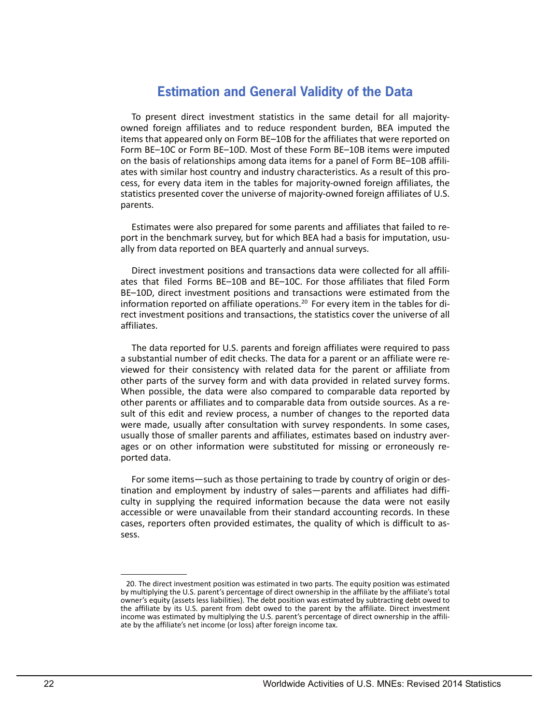# **Estimation and General Validity of the Data**

 items that appeared only on Form BE–10B for the affiliates that were reported on To present direct investment statistics in the same detail for all majorityowned foreign affiliates and to reduce respondent burden, BEA imputed the Form BE–10C or Form BE–10D. Most of these Form BE–10B items were imputed on the basis of relationships among data items for a panel of Form BE–10B affiliates with similar host country and industry characteristics. As a result of this process, for every data item in the tables for majority-owned foreign affiliates, the statistics presented cover the universe of majority-owned foreign affiliates of U.S. parents.

Estimates were also prepared for some parents and affiliates that failed to report in the benchmark survey, but for which BEA had a basis for imputation, usually from data reported on BEA quarterly and annual surveys.

 ates that filed Forms BE–10B and BE–10C. For those affiliates that filed Form Direct investment positions and transactions data were collected for all affili-BE–10D, direct investment positions and transactions were estimated from the information reported on affiliate operations.<sup>20</sup> For every item in the tables for direct investment positions and transactions, the statistics cover the universe of all affiliates.

 When possible, the data were also compared to comparable data reported by The data reported for U.S. parents and foreign affiliates were required to pass a substantial number of edit checks. The data for a parent or an affiliate were reviewed for their consistency with related data for the parent or affiliate from other parts of the survey form and with data provided in related survey forms. other parents or affiliates and to comparable data from outside sources. As a result of this edit and review process, a number of changes to the reported data were made, usually after consultation with survey respondents. In some cases, usually those of smaller parents and affiliates, estimates based on industry averages or on other information were substituted for missing or erroneously reported data.

For some items—such as those pertaining to trade by country of origin or destination and employment by industry of sales—parents and affiliates had difficulty in supplying the required information because the data were not easily accessible or were unavailable from their standard accounting records. In these cases, reporters often provided estimates, the quality of which is difficult to assess.

 by multiplying the U.S. parent's percentage of direct ownership in the affiliate by the affiliate's total owner's equity (assets less liabilities). The debt position was estimated by subtracting debt owed to income was estimated by multiplying the U.S. parent's percentage of direct ownership in the affili-20. The direct investment position was estimated in two parts. The equity position was estimated the affiliate by its U.S. parent from debt owed to the parent by the affiliate. Direct investment ate by the affiliate's net income (or loss) after foreign income tax.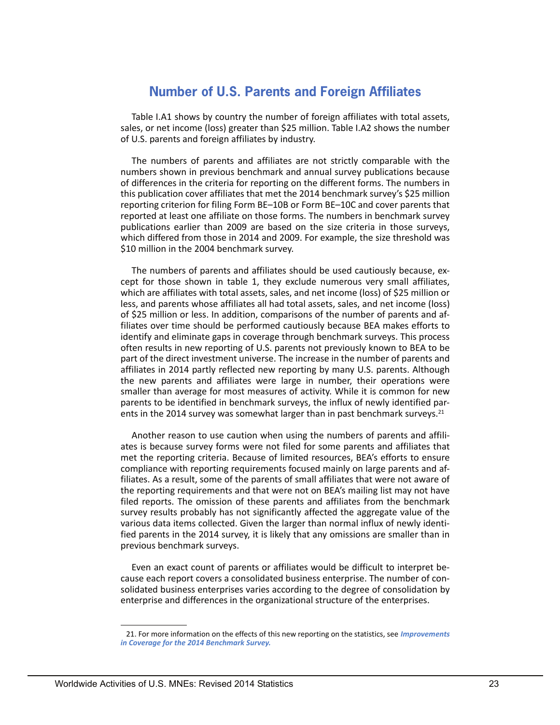# **Number of U.S. Parents and Foreign Affiliates**

Table I.A1 shows by country the number of foreign affiliates with total assets, sales, or net income (loss) greater than \$25 million. Table I.A2 shows the number of U.S. parents and foreign affiliates by industry.

The numbers of parents and affiliates are not strictly comparable with the numbers shown in previous benchmark and annual survey publications because of differences in the criteria for reporting on the different forms. The numbers in this publication cover affiliates that met the 2014 benchmark survey's \$25 million reporting criterion for filing Form BE–10B or Form BE–10C and cover parents that reported at least one affiliate on those forms. The numbers in benchmark survey publications earlier than 2009 are based on the size criteria in those surveys, which differed from those in 2014 and 2009. For example, the size threshold was \$10 million in the 2004 benchmark survey.

The numbers of parents and affiliates should be used cautiously because, except for those shown in table 1, they exclude numerous very small affiliates, which are affiliates with total assets, sales, and net income (loss) of \$25 million or less, and parents whose affiliates all had total assets, sales, and net income (loss) of \$25 million or less. In addition, comparisons of the number of parents and affiliates over time should be performed cautiously because BEA makes efforts to identify and eliminate gaps in coverage through benchmark surveys. This process often results in new reporting of U.S. parents not previously known to BEA to be part of the direct investment universe. The increase in the number of parents and affiliates in 2014 partly reflected new reporting by many U.S. parents. Although the new parents and affiliates were large in number, their operations were smaller than average for most measures of activity. While it is common for new parents to be identified in benchmark surveys, the influx of newly identified parents in the 2014 survey was somewhat larger than in past benchmark surveys.<sup>21</sup>

Another reason to use caution when using the numbers of parents and affiliates is because survey forms were not filed for some parents and affiliates that met the reporting criteria. Because of limited resources, BEA's efforts to ensure compliance with reporting requirements focused mainly on large parents and affiliates. As a result, some of the parents of small affiliates that were not aware of the reporting requirements and that were not on BEA's mailing list may not have filed reports. The omission of these parents and affiliates from the benchmark survey results probably has not significantly affected the aggregate value of the various data items collected. Given the larger than normal influx of newly identified parents in the 2014 survey, it is likely that any omissions are smaller than in previous benchmark surveys.

Even an exact count of parents or affiliates would be difficult to interpret because each report covers a consolidated business enterprise. The number of consolidated business enterprises varies according to the degree of consolidation by enterprise and differences in the organizational structure of the enterprises.

<sup>21.</sup> For more information on the effects of this new reporting on the statistics, see *[Improvements](https://www.bea.gov/international/pdf/usdia_2014r/MNE%2014-R%20Improvements%20in%20Coverage.pdf)  [in Coverage for the 2014 Benchmark Survey.](https://www.bea.gov/international/pdf/usdia_2014r/MNE%2014-R%20Improvements%20in%20Coverage.pdf)*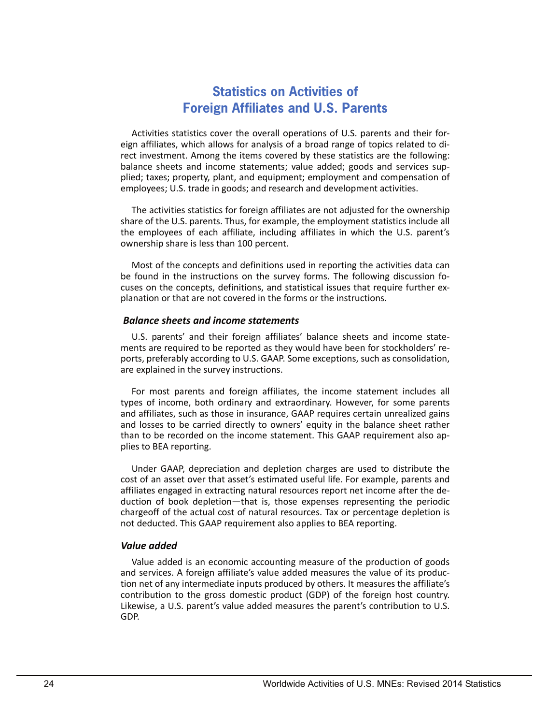# **Statistics on Activities of Foreign Affiliates and U.S. Parents**

Activities statistics cover the overall operations of U.S. parents and their foreign affiliates, which allows for analysis of a broad range of topics related to direct investment. Among the items covered by these statistics are the following: balance sheets and income statements; value added; goods and services supplied; taxes; property, plant, and equipment; employment and compensation of employees; U.S. trade in goods; and research and development activities.

The activities statistics for foreign affiliates are not adjusted for the ownership share of the U.S. parents. Thus, for example, the employment statistics include all the employees of each affiliate, including affiliates in which the U.S. parent's ownership share is less than 100 percent.

Most of the concepts and definitions used in reporting the activities data can be found in the instructions on the survey forms. The following discussion focuses on the concepts, definitions, and statistical issues that require further explanation or that are not covered in the forms or the instructions.

## *Balance sheets and income statements*

 ments are required to be reported as they would have been for stockholders' re-U.S. parents' and their foreign affiliates' balance sheets and income stateports, preferably according to U.S. GAAP. Some exceptions, such as consolidation, are explained in the survey instructions.

For most parents and foreign affiliates, the income statement includes all types of income, both ordinary and extraordinary. However, for some parents and affiliates, such as those in insurance, GAAP requires certain unrealized gains and losses to be carried directly to owners' equity in the balance sheet rather than to be recorded on the income statement. This GAAP requirement also applies to BEA reporting.

Under GAAP, depreciation and depletion charges are used to distribute the cost of an asset over that asset's estimated useful life. For example, parents and affiliates engaged in extracting natural resources report net income after the deduction of book depletion—that is, those expenses representing the periodic chargeoff of the actual cost of natural resources. Tax or percentage depletion is not deducted. This GAAP requirement also applies to BEA reporting.

## *Value added*

 Likewise, a U.S. parent's value added measures the parent's contribution to U.S. Value added is an economic accounting measure of the production of goods and services. A foreign affiliate's value added measures the value of its production net of any intermediate inputs produced by others. It measures the affiliate's contribution to the gross domestic product (GDP) of the foreign host country. GDP.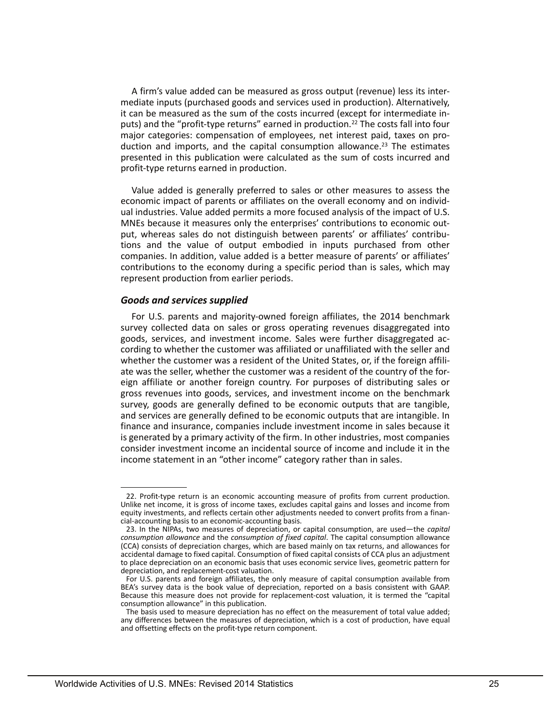A firm's value added can be measured as gross output (revenue) less its intermediate inputs (purchased goods and services used in production). Alternatively, it can be measured as the sum of the costs incurred (except for intermediate inputs) and the "profit-type returns" earned in production.<sup>22</sup> The costs fall into four major categories: compensation of employees, net interest paid, taxes on production and imports, and the capital consumption allowance.<sup>23</sup> The estimates presented in this publication were calculated as the sum of costs incurred and profit-type returns earned in production.

Value added is generally preferred to sales or other measures to assess the economic impact of parents or affiliates on the overall economy and on individual industries. Value added permits a more focused analysis of the impact of U.S. MNEs because it measures only the enterprises' contributions to economic output, whereas sales do not distinguish between parents' or affiliates' contributions and the value of output embodied in inputs purchased from other companies. In addition, value added is a better measure of parents' or affiliates' contributions to the economy during a specific period than is sales, which may represent production from earlier periods.

#### *Goods and services supplied*

 consider investment income an incidental source of income and include it in the income statement in an "other income" category rather than in sales. For U.S. parents and majority-owned foreign affiliates, the 2014 benchmark survey collected data on sales or gross operating revenues disaggregated into goods, services, and investment income. Sales were further disaggregated according to whether the customer was affiliated or unaffiliated with the seller and whether the customer was a resident of the United States, or, if the foreign affiliate was the seller, whether the customer was a resident of the country of the foreign affiliate or another foreign country. For purposes of distributing sales or gross revenues into goods, services, and investment income on the benchmark survey, goods are generally defined to be economic outputs that are tangible, and services are generally defined to be economic outputs that are intangible. In finance and insurance, companies include investment income in sales because it is generated by a primary activity of the firm. In other industries, most companies

<sup>22.</sup> Profit-type return is an economic accounting measure of profits from current production. Unlike net income, it is gross of income taxes, excludes capital gains and losses and income from equity investments, and reflects certain other adjustments needed to convert profits from a financial-accounting basis to an economic-accounting basis.

<sup>23.</sup> In the NIPAs, two measures of depreciation, or capital consumption, are used—the *capital consumption allowance* and the *consumption of fixed capital*. The capital consumption allowance (CCA) consists of depreciation charges, which are based mainly on tax returns, and allowances for accidental damage to fixed capital. Consumption of fixed capital consists of CCA plus an adjustment to place depreciation on an economic basis that uses economic service lives, geometric pattern for depreciation, and replacement-cost valuation.

For U.S. parents and foreign affiliates, the only measure of capital consumption available from BEA's survey data is the book value of depreciation, reported on a basis consistent with GAAP. Because this measure does not provide for replacement-cost valuation, it is termed the "capital consumption allowance" in this publication.

The basis used to measure depreciation has no effect on the measurement of total value added; any differences between the measures of depreciation, which is a cost of production, have equal and offsetting effects on the profit-type return component.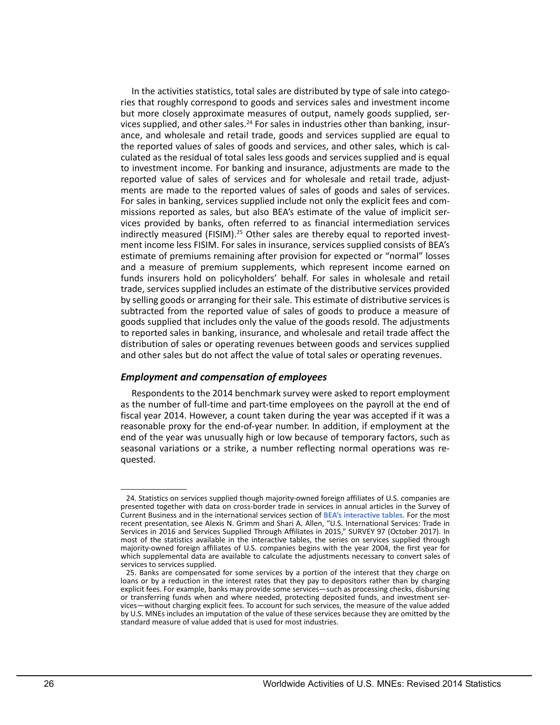to reported sales in banking, insurance, and wholesale and retail trade affect the In the activities statistics, total sales are distributed by type of sale into categories that roughly correspond to goods and services sales and investment income but more closely approximate measures of output, namely goods supplied, services supplied, and other sales.<sup>24</sup> For sales in industries other than banking, insurance, and wholesale and retail trade, goods and services supplied are equal to the reported values of sales of goods and services, and other sales, which is calculated as the residual of total sales less goods and services supplied and is equal to investment income. For banking and insurance, adjustments are made to the reported value of sales of services and for wholesale and retail trade, adjustments are made to the reported values of sales of goods and sales of services. For sales in banking, services supplied include not only the explicit fees and commissions reported as sales, but also BEA's estimate of the value of implicit services provided by banks, often referred to as financial intermediation services indirectly measured (FISIM).<sup>25</sup> Other sales are thereby equal to reported investment income less FISIM. For sales in insurance, services supplied consists of BEA's estimate of premiums remaining after provision for expected or "normal" losses and a measure of premium supplements, which represent income earned on funds insurers hold on policyholders' behalf. For sales in wholesale and retail trade, services supplied includes an estimate of the distributive services provided by selling goods or arranging for their sale. This estimate of distributive services is subtracted from the reported value of sales of goods to produce a measure of goods supplied that includes only the value of the goods resold. The adjustments distribution of sales or operating revenues between goods and services supplied and other sales but do not affect the value of total sales or operating revenues.

## *Employment and compensation of employees*

Respondents to the 2014 benchmark survey were asked to report employment as the number of full-time and part-time employees on the payroll at the end of fiscal year 2014. However, a count taken during the year was accepted if it was a reasonable proxy for the end-of-year number. In addition, if employment at the end of the year was unusually high or low because of temporary factors, such as seasonal variations or a strike, a number reflecting normal operations was requested.

 24. Statistics on services supplied though majority-owned foreign affiliates of U.S. companies are Current Business and in the international services section of **[BEA's interactive tables.](https://www.bea.gov/iTable/iTableHtml.cfm?reqid=62&step=9&isuri=1&6210=4)** For the most Services in 2016 and Services Supplied Through Affiliates in 2015," SURVEY 97 (October 2017). In which supplemental data are available to calculate the adjustments necessary to convert sales of presented together with data on cross-border trade in services in annual articles in the Survey of recent presentation, see Alexis N. Grimm and Shari A. Allen, "U.S. International Services: Trade in most of the statistics available in the interactive tables, the series on services supplied through majority-owned foreign affiliates of U.S. companies begins with the year 2004, the first year for services to services supplied.

 loans or by a reduction in the interest rates that they pay to depositors rather than by charging 25. Banks are compensated for some services by a portion of the interest that they charge on explicit fees. For example, banks may provide some services—such as processing checks, disbursing or transferring funds when and where needed, protecting deposited funds, and investment services—without charging explicit fees. To account for such services, the measure of the value added by U.S. MNEs includes an imputation of the value of these services because they are omitted by the standard measure of value added that is used for most industries.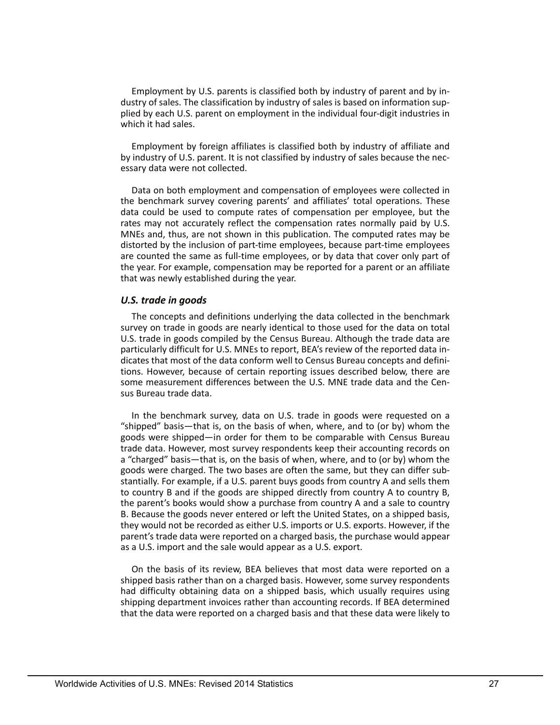plied by each U.S. parent on employment in the individual four-digit industries in Employment by U.S. parents is classified both by industry of parent and by industry of sales. The classification by industry of sales is based on information supwhich it had sales.

Employment by foreign affiliates is classified both by industry of affiliate and by industry of U.S. parent. It is not classified by industry of sales because the necessary data were not collected.

 data could be used to compute rates of compensation per employee, but the are counted the same as full-time employees, or by data that cover only part of Data on both employment and compensation of employees were collected in the benchmark survey covering parents' and affiliates' total operations. These rates may not accurately reflect the compensation rates normally paid by U.S. MNEs and, thus, are not shown in this publication. The computed rates may be distorted by the inclusion of part-time employees, because part-time employees the year. For example, compensation may be reported for a parent or an affiliate that was newly established during the year.

#### *U.S. trade in goods*

The concepts and definitions underlying the data collected in the benchmark survey on trade in goods are nearly identical to those used for the data on total U.S. trade in goods compiled by the Census Bureau. Although the trade data are particularly difficult for U.S. MNEs to report, BEA's review of the reported data indicates that most of the data conform well to Census Bureau concepts and definitions. However, because of certain reporting issues described below, there are some measurement differences between the U.S. MNE trade data and the Census Bureau trade data.

In the benchmark survey, data on U.S. trade in goods were requested on a "shipped" basis—that is, on the basis of when, where, and to (or by) whom the goods were shipped—in order for them to be comparable with Census Bureau trade data. However, most survey respondents keep their accounting records on a "charged" basis—that is, on the basis of when, where, and to (or by) whom the goods were charged. The two bases are often the same, but they can differ substantially. For example, if a U.S. parent buys goods from country A and sells them to country B and if the goods are shipped directly from country A to country B, the parent's books would show a purchase from country A and a sale to country B. Because the goods never entered or left the United States, on a shipped basis, they would not be recorded as either U.S. imports or U.S. exports. However, if the parent's trade data were reported on a charged basis, the purchase would appear as a U.S. import and the sale would appear as a U.S. export.

 On the basis of its review, BEA believes that most data were reported on a shipped basis rather than on a charged basis. However, some survey respondents had difficulty obtaining data on a shipped basis, which usually requires using shipping department invoices rather than accounting records. If BEA determined that the data were reported on a charged basis and that these data were likely to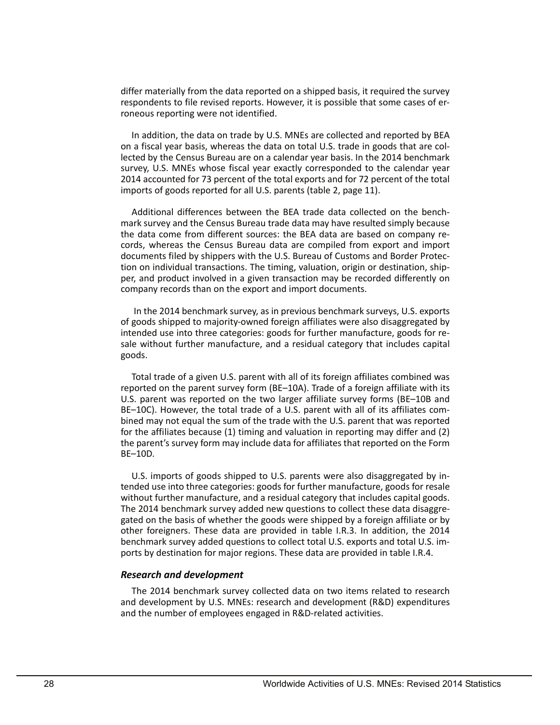differ materially from the data reported on a shipped basis, it required the survey respondents to file revised reports. However, it is possible that some cases of erroneous reporting were not identified.

 In addition, the data on trade by U.S. MNEs are collected and reported by BEA on a fiscal year basis, whereas the data on total U.S. trade in goods that are collected by the Census Bureau are on a calendar year basis. In the 2014 benchmark survey, U.S. MNEs whose fiscal year exactly corresponded to the calendar year 2014 accounted for 73 percent of the total exports and for 72 percent of the total imports of goods reported for all U.S. parents (table 2, page 11).

Additional differences between the BEA trade data collected on the benchmark survey and the Census Bureau trade data may have resulted simply because the data come from different sources: the BEA data are based on company records, whereas the Census Bureau data are compiled from export and import documents filed by shippers with the U.S. Bureau of Customs and Border Protection on individual transactions. The timing, valuation, origin or destination, shipper, and product involved in a given transaction may be recorded differently on company records than on the export and import documents.

In the 2014 benchmark survey, as in previous benchmark surveys, U.S. exports of goods shipped to majority-owned foreign affiliates were also disaggregated by intended use into three categories: goods for further manufacture, goods for resale without further manufacture, and a residual category that includes capital goods.

 U.S. parent was reported on the two larger affiliate survey forms (BE–10B and BE–10C). However, the total trade of a U.S. parent with all of its affiliates com-Total trade of a given U.S. parent with all of its foreign affiliates combined was reported on the parent survey form (BE–10A). Trade of a foreign affiliate with its bined may not equal the sum of the trade with the U.S. parent that was reported for the affiliates because (1) timing and valuation in reporting may differ and (2) the parent's survey form may include data for affiliates that reported on the Form BE–10D.

U.S. imports of goods shipped to U.S. parents were also disaggregated by intended use into three categories: goods for further manufacture, goods for resale without further manufacture, and a residual category that includes capital goods. The 2014 benchmark survey added new questions to collect these data disaggregated on the basis of whether the goods were shipped by a foreign affiliate or by other foreigners. These data are provided in table I.R.3. In addition, the 2014 benchmark survey added questions to collect total U.S. exports and total U.S. imports by destination for major regions. These data are provided in table I.R.4.

## *Research and development*

The 2014 benchmark survey collected data on two items related to research and development by U.S. MNEs: research and development (R&D) expenditures and the number of employees engaged in R&D-related activities.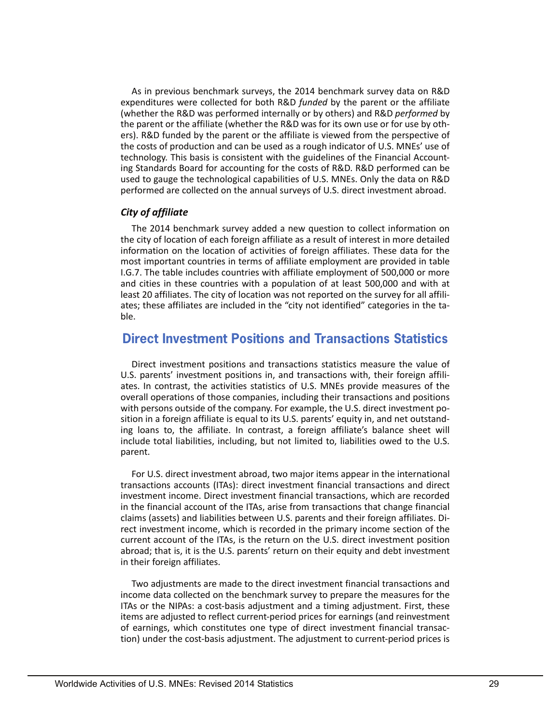As in previous benchmark surveys, the 2014 benchmark survey data on R&D expenditures were collected for both R&D *funded* by the parent or the affiliate (whether the R&D was performed internally or by others) and R&D *performed* by the parent or the affiliate (whether the R&D was for its own use or for use by others). R&D funded by the parent or the affiliate is viewed from the perspective of the costs of production and can be used as a rough indicator of U.S. MNEs' use of technology. This basis is consistent with the guidelines of the Financial Accounting Standards Board for accounting for the costs of R&D. R&D performed can be used to gauge the technological capabilities of U.S. MNEs. Only the data on R&D performed are collected on the annual surveys of U.S. direct investment abroad.

## *City of affiliate*

The 2014 benchmark survey added a new question to collect information on the city of location of each foreign affiliate as a result of interest in more detailed information on the location of activities of foreign affiliates. These data for the most important countries in terms of affiliate employment are provided in table I.G.7. The table includes countries with affiliate employment of 500,000 or more and cities in these countries with a population of at least 500,000 and with at least 20 affiliates. The city of location was not reported on the survey for all affiliates; these affiliates are included in the "city not identified" categories in the table.

# **Direct Investment Positions and Transactions Statistics**

Direct investment positions and transactions statistics measure the value of U.S. parents' investment positions in, and transactions with, their foreign affiliates. In contrast, the activities statistics of U.S. MNEs provide measures of the overall operations of those companies, including their transactions and positions with persons outside of the company. For example, the U.S. direct investment position in a foreign affiliate is equal to its U.S. parents' equity in, and net outstanding loans to, the affiliate. In contrast, a foreign affiliate's balance sheet will include total liabilities, including, but not limited to, liabilities owed to the U.S. parent.

For U.S. direct investment abroad, two major items appear in the international transactions accounts (ITAs): direct investment financial transactions and direct investment income. Direct investment financial transactions, which are recorded in the financial account of the ITAs, arise from transactions that change financial claims (assets) and liabilities between U.S. parents and their foreign affiliates. Direct investment income, which is recorded in the primary income section of the current account of the ITAs, is the return on the U.S. direct investment position abroad; that is, it is the U.S. parents' return on their equity and debt investment in their foreign affiliates.

Two adjustments are made to the direct investment financial transactions and income data collected on the benchmark survey to prepare the measures for the ITAs or the NIPAs: a cost-basis adjustment and a timing adjustment. First, these items are adjusted to reflect current-period prices for earnings (and reinvestment of earnings, which constitutes one type of direct investment financial transaction) under the cost-basis adjustment. The adjustment to current-period prices is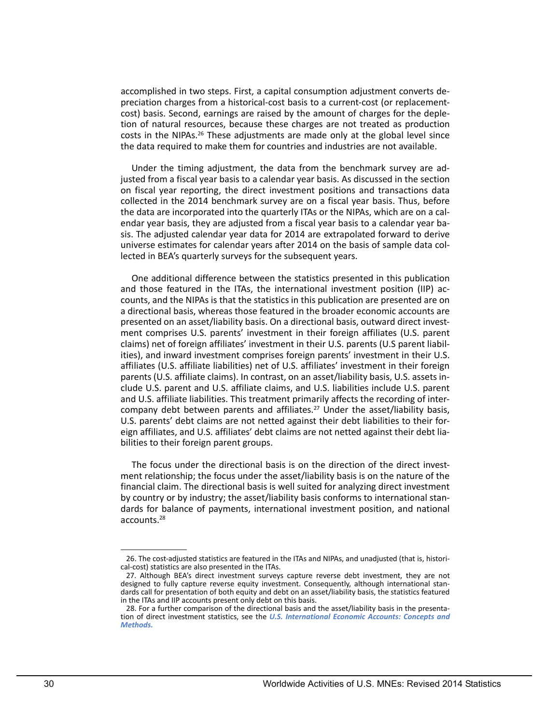accomplished in two steps. First, a capital consumption adjustment converts depreciation charges from a historical-cost basis to a current-cost (or replacementcost) basis. Second, earnings are raised by the amount of charges for the depletion of natural resources, because these charges are not treated as production costs in the NIPAs.<sup>26</sup> These adjustments are made only at the global level since the data required to make them for countries and industries are not available.

Under the timing adjustment, the data from the benchmark survey are adjusted from a fiscal year basis to a calendar year basis. As discussed in the section on fiscal year reporting, the direct investment positions and transactions data collected in the 2014 benchmark survey are on a fiscal year basis. Thus, before the data are incorporated into the quarterly ITAs or the NIPAs, which are on a calendar year basis, they are adjusted from a fiscal year basis to a calendar year basis. The adjusted calendar year data for 2014 are extrapolated forward to derive universe estimates for calendar years after 2014 on the basis of sample data collected in BEA's quarterly surveys for the subsequent years.

 ities), and inward investment comprises foreign parents' investment in their U.S. One additional difference between the statistics presented in this publication and those featured in the ITAs, the international investment position (IIP) accounts, and the NIPAs is that the statistics in this publication are presented are on a directional basis, whereas those featured in the broader economic accounts are presented on an asset/liability basis. On a directional basis, outward direct investment comprises U.S. parents' investment in their foreign affiliates (U.S. parent claims) net of foreign affiliates' investment in their U.S. parents (U.S parent liabilaffiliates (U.S. affiliate liabilities) net of U.S. affiliates' investment in their foreign parents (U.S. affiliate claims). In contrast, on an asset/liability basis, U.S. assets include U.S. parent and U.S. affiliate claims, and U.S. liabilities include U.S. parent and U.S. affiliate liabilities. This treatment primarily affects the recording of intercompany debt between parents and affiliates.<sup>27</sup> Under the asset/liability basis, U.S. parents' debt claims are not netted against their debt liabilities to their foreign affiliates, and U.S. affiliates' debt claims are not netted against their debt liabilities to their foreign parent groups.

The focus under the directional basis is on the direction of the direct investment relationship; the focus under the asset/liability basis is on the nature of the financial claim. The directional basis is well suited for analyzing direct investment by country or by industry; the asset/liability basis conforms to international standards for balance of payments, international investment position, and national accounts.28

 26. The cost-adjusted statistics are featured in the ITAs and NIPAs, and unadjusted (that is, historical-cost) statistics are also presented in the ITAs.

 designed to fully capture reverse equity investment. Consequently, although international stan-27. Although BEA's direct investment surveys capture reverse debt investment, they are not dards call for presentation of both equity and debt on an asset/liability basis, the statistics featured in the ITAs and IIP accounts present only debt on this basis.

<sup>28.</sup> For a further comparison of the directional basis and the asset/liability basis in the presentation of direct investment statistics, see the *[U.S. International Economic Accounts: Concepts and](https://www.bea.gov/international/pdf/concepts-methods/ONE%20PDF%20-%20IEA%20Concepts%20Methods.pdf)  [Methods.](https://www.bea.gov/international/pdf/concepts-methods/ONE%20PDF%20-%20IEA%20Concepts%20Methods.pdf)*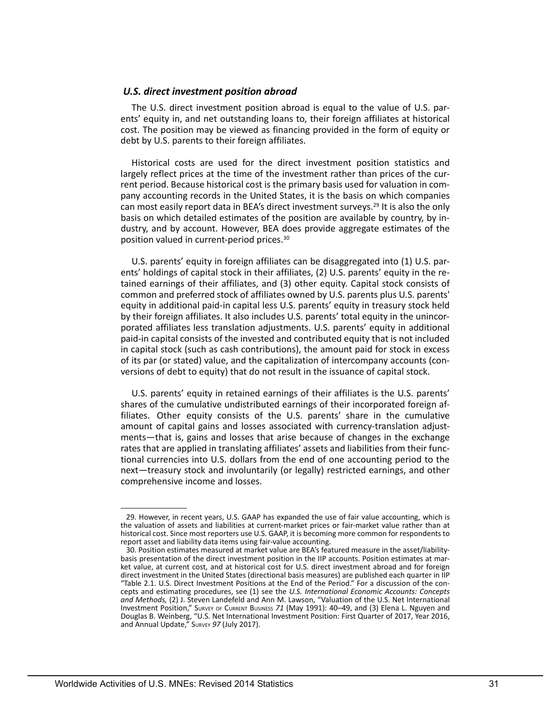#### *U.S. direct investment position abroad*

The U.S. direct investment position abroad is equal to the value of U.S. parents' equity in, and net outstanding loans to, their foreign affiliates at historical cost. The position may be viewed as financing provided in the form of equity or debt by U.S. parents to their foreign affiliates.

 Historical costs are used for the direct investment position statistics and largely reflect prices at the time of the investment rather than prices of the current period. Because historical cost is the primary basis used for valuation in company accounting records in the United States, it is the basis on which companies can most easily report data in BEA's direct investment surveys.<sup>29</sup> It is also the only basis on which detailed estimates of the position are available by country, by industry, and by account. However, BEA does provide aggregate estimates of the position valued in current-period prices.30

 paid-in capital consists of the invested and contributed equity that is not included U.S. parents' equity in foreign affiliates can be disaggregated into (1) U.S. parents' holdings of capital stock in their affiliates, (2) U.S. parents' equity in the retained earnings of their affiliates, and (3) other equity. Capital stock consists of common and preferred stock of affiliates owned by U.S. parents plus U.S. parents' equity in additional paid-in capital less U.S. parents' equity in treasury stock held by their foreign affiliates. It also includes U.S. parents' total equity in the unincorporated affiliates less translation adjustments. U.S. parents' equity in additional in capital stock (such as cash contributions), the amount paid for stock in excess of its par (or stated) value, and the capitalization of intercompany accounts (conversions of debt to equity) that do not result in the issuance of capital stock.

U.S. parents' equity in retained earnings of their affiliates is the U.S. parents' shares of the cumulative undistributed earnings of their incorporated foreign affiliates. Other equity consists of the U.S. parents' share in the cumulative amount of capital gains and losses associated with currency-translation adjustments—that is, gains and losses that arise because of changes in the exchange rates that are applied in translating affiliates' assets and liabilities from their functional currencies into U.S. dollars from the end of one accounting period to the next—treasury stock and involuntarily (or legally) restricted earnings, and other comprehensive income and losses.

<sup>29.</sup> However, in recent years, U.S. GAAP has expanded the use of fair value accounting, which is the valuation of assets and liabilities at current-market prices or fair-market value rather than at historical cost. Since most reporters use U.S. GAAP, it is becoming more common for respondents to report asset and liability data items using fair-value accounting.

basis presentation of the direct investment position in the IIP accounts. Position estimates at mar-<br>ket value, at current cost, and at historical cost for U.S. direct investment abroad and for foreign 30. Position estimates measured at market value are BEA's featured measure in the asset/liabilitydirect investment in the United States (directional basis measures) are published each quarter in IIP<br>"Table 2.1. U.S. Direct Investment Positions at the End of the Period." For a discussion of the concepts and estimating procedures, see (1) see the *U.S. International Economic Accounts: Concepts and Methods,* (2) J. Steven Landefeld and Ann M. Lawson, "Valuation of the U.S. Net International Investment Position," SURVEY OF CURRENT BUSINESS *71* (May 1991): 40–49, and (3) Elena L. Nguyen and Douglas B. Weinberg, "U.S. Net International Investment Position: First Quarter of 2017, Year 2016, and Annual Update," SURVEY *97* (July 2017).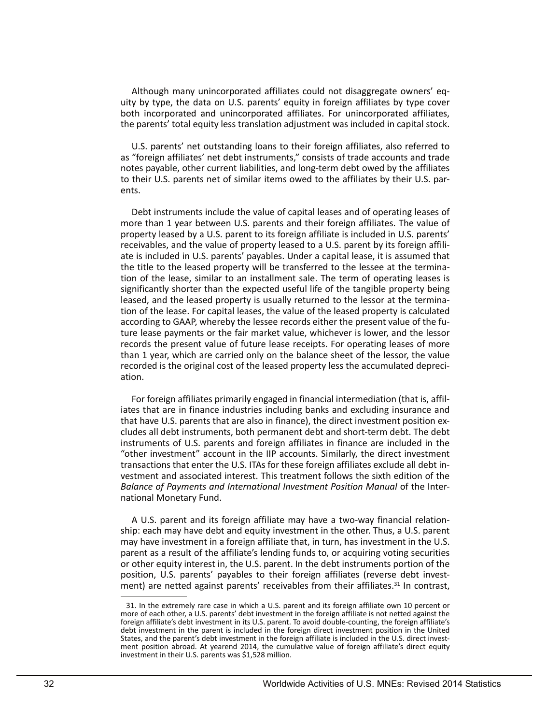Although many unincorporated affiliates could not disaggregate owners' equity by type, the data on U.S. parents' equity in foreign affiliates by type cover both incorporated and unincorporated affiliates. For unincorporated affiliates, the parents' total equity less translation adjustment was included in capital stock.

U.S. parents' net outstanding loans to their foreign affiliates, also referred to as "foreign affiliates' net debt instruments," consists of trade accounts and trade notes payable, other current liabilities, and long-term debt owed by the affiliates to their U.S. parents net of similar items owed to the affiliates by their U.S. parents.

Debt instruments include the value of capital leases and of operating leases of more than 1 year between U.S. parents and their foreign affiliates. The value of property leased by a U.S. parent to its foreign affiliate is included in U.S. parents' receivables, and the value of property leased to a U.S. parent by its foreign affiliate is included in U.S. parents' payables. Under a capital lease, it is assumed that the title to the leased property will be transferred to the lessee at the termination of the lease, similar to an installment sale. The term of operating leases is significantly shorter than the expected useful life of the tangible property being leased, and the leased property is usually returned to the lessor at the termination of the lease. For capital leases, the value of the leased property is calculated according to GAAP, whereby the lessee records either the present value of the future lease payments or the fair market value, whichever is lower, and the lessor records the present value of future lease receipts. For operating leases of more than 1 year, which are carried only on the balance sheet of the lessor, the value recorded is the original cost of the leased property less the accumulated depreciation.

For foreign affiliates primarily engaged in financial intermediation (that is, affiliates that are in finance industries including banks and excluding insurance and that have U.S. parents that are also in finance), the direct investment position excludes all debt instruments, both permanent debt and short-term debt. The debt instruments of U.S. parents and foreign affiliates in finance are included in the "other investment" account in the IIP accounts. Similarly, the direct investment transactions that enter the U.S. ITAs for these foreign affiliates exclude all debt investment and associated interest. This treatment follows the sixth edition of the *Balance of Payments and International Investment Position Manual* of the International Monetary Fund.

 ship: each may have debt and equity investment in the other. Thus, a U.S. parent A U.S. parent and its foreign affiliate may have a two-way financial relationmay have investment in a foreign affiliate that, in turn, has investment in the U.S. parent as a result of the affiliate's lending funds to, or acquiring voting securities or other equity interest in, the U.S. parent. In the debt instruments portion of the position, U.S. parents' payables to their foreign affiliates (reverse debt investment) are netted against parents' receivables from their affiliates.<sup>31</sup> In contrast,

<sup>31.</sup> In the extremely rare case in which a U.S. parent and its foreign affiliate own 10 percent or more of each other, a U.S. parents' debt investment in the foreign affiliate is not netted against the foreign affiliate's debt investment in its U.S. parent. To avoid double-counting, the foreign affiliate's debt investment in the parent is included in the foreign direct investment position in the United States, and the parent's debt investment in the foreign affiliate is included in the U.S. direct investment position abroad. At yearend 2014, the cumulative value of foreign affiliate's direct equity investment in their U.S. parents was \$1,528 million.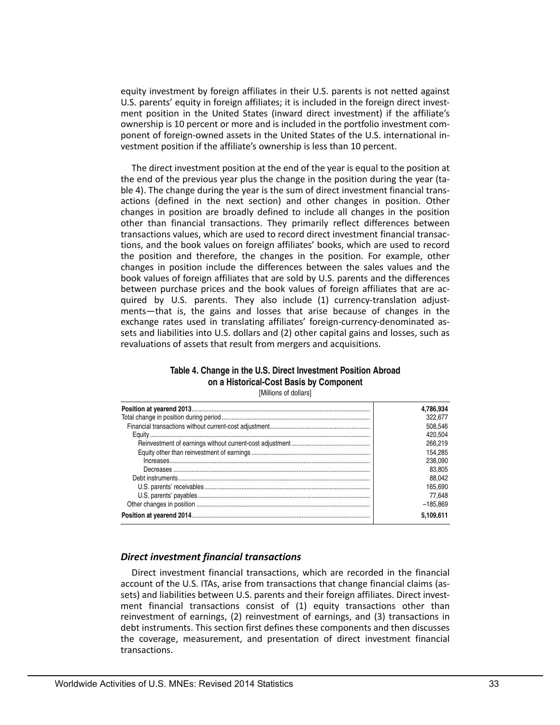equity investment by foreign affiliates in their U.S. parents is not netted against U.S. parents' equity in foreign affiliates; it is included in the foreign direct investment position in the United States (inward direct investment) if the affiliate's ownership is 10 percent or more and is included in the portfolio investment component of foreign-owned assets in the United States of the U.S. international investment position if the affiliate's ownership is less than 10 percent.

 ble 4). The change during the year is the sum of direct investment financial trans- quired by U.S. parents. They also include (1) currency-translation adjust- revaluations of assets that result from mergers and acquisitions. The direct investment position at the end of the year is equal to the position at the end of the previous year plus the change in the position during the year (taactions (defined in the next section) and other changes in position. Other changes in position are broadly defined to include all changes in the position other than financial transactions. They primarily reflect differences between transactions values, which are used to record direct investment financial transactions, and the book values on foreign affiliates' books, which are used to record the position and therefore, the changes in the position. For example, other changes in position include the differences between the sales values and the book values of foreign affiliates that are sold by U.S. parents and the differences between purchase prices and the book values of foreign affiliates that are acments—that is, the gains and losses that arise because of changes in the exchange rates used in translating affiliates' foreign-currency-denominated assets and liabilities into U.S. dollars and (2) other capital gains and losses, such as

# **Table 4. Change in the U.S. Direct Investment Position Abroad on a Historical-Cost Basis by Component**

[Millions of dollars]

| 4,786,934  |
|------------|
| 322.677    |
| 508.546    |
| 420.504    |
| 266.219    |
| 154.285    |
| 238.090    |
| 83.805     |
| 88.042     |
| 165.690    |
| 77.648     |
| $-185.869$ |
| 5.109.611  |

## *Direct investment financial transactions*

Direct investment financial transactions, which are recorded in the financial account of the U.S. ITAs, arise from transactions that change financial claims (assets) and liabilities between U.S. parents and their foreign affiliates. Direct investment financial transactions consist of (1) equity transactions other than reinvestment of earnings, (2) reinvestment of earnings, and (3) transactions in debt instruments. This section first defines these components and then discusses the coverage, measurement, and presentation of direct investment financial transactions.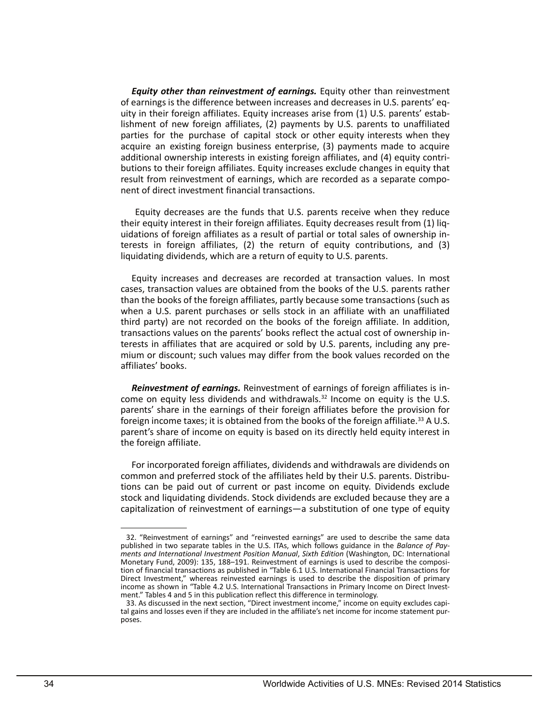*Equity other than reinvestment of earnings.* Equity other than reinvestment of earnings is the difference between increases and decreases in U.S. parents' equity in their foreign affiliates. Equity increases arise from (1) U.S. parents' establishment of new foreign affiliates, (2) payments by U.S. parents to unaffiliated parties for the purchase of capital stock or other equity interests when they acquire an existing foreign business enterprise, (3) payments made to acquire additional ownership interests in existing foreign affiliates, and (4) equity contributions to their foreign affiliates. Equity increases exclude changes in equity that result from reinvestment of earnings, which are recorded as a separate component of direct investment financial transactions.

 Equity decreases are the funds that U.S. parents receive when they reduce their equity interest in their foreign affiliates. Equity decreases result from (1) liquidations of foreign affiliates as a result of partial or total sales of ownership interests in foreign affiliates, (2) the return of equity contributions, and (3) liquidating dividends, which are a return of equity to U.S. parents.

Equity increases and decreases are recorded at transaction values. In most cases, transaction values are obtained from the books of the U.S. parents rather than the books of the foreign affiliates, partly because some transactions (such as when a U.S. parent purchases or sells stock in an affiliate with an unaffiliated third party) are not recorded on the books of the foreign affiliate. In addition, transactions values on the parents' books reflect the actual cost of ownership interests in affiliates that are acquired or sold by U.S. parents, including any premium or discount; such values may differ from the book values recorded on the affiliates' books.

*Reinvestment of earnings.* Reinvestment of earnings of foreign affiliates is income on equity less dividends and withdrawals.32 Income on equity is the U.S. parents' share in the earnings of their foreign affiliates before the provision for foreign income taxes; it is obtained from the books of the foreign affiliate.<sup>33</sup> A U.S. parent's share of income on equity is based on its directly held equity interest in the foreign affiliate.

For incorporated foreign affiliates, dividends and withdrawals are dividends on common and preferred stock of the affiliates held by their U.S. parents. Distributions can be paid out of current or past income on equity. Dividends exclude stock and liquidating dividends. Stock dividends are excluded because they are a capitalization of reinvestment of earnings—a substitution of one type of equity

 32. "Reinvestment of earnings" and "reinvested earnings" are used to describe the same data published in two separate tables in the U.S. ITAs, which follows guidance in the *Balance of Payments and International Investment Position Manual*, *Sixth Edition* (Washington, DC: International Monetary Fund, 2009): 135, 188–191. Reinvestment of earnings is used to describe the composition of financial transactions as published in "Table 6.1 U.S. International Financial Transactions for Direct Investment," whereas reinvested earnings is used to describe the disposition of primary income as shown in "Table 4.2 U.S. International Transactions in Primary Income on Direct Investment." Tables 4 and 5 in this publication reflect this difference in terminology.

 tal gains and losses even if they are included in the affiliate's net income for income statement pur-33. As discussed in the next section, "Direct investment income," income on equity excludes capiposes.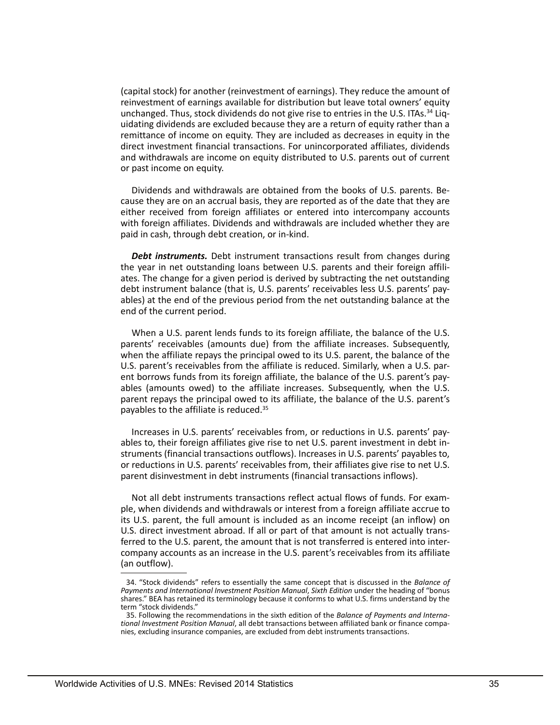(capital stock) for another (reinvestment of earnings). They reduce the amount of reinvestment of earnings available for distribution but leave total owners' equity unchanged. Thus, stock dividends do not give rise to entries in the U.S. ITAs.<sup>34</sup> Liquidating dividends are excluded because they are a return of equity rather than a remittance of income on equity. They are included as decreases in equity in the direct investment financial transactions. For unincorporated affiliates, dividends and withdrawals are income on equity distributed to U.S. parents out of current or past income on equity.

Dividends and withdrawals are obtained from the books of U.S. parents. Because they are on an accrual basis, they are reported as of the date that they are either received from foreign affiliates or entered into intercompany accounts with foreign affiliates. Dividends and withdrawals are included whether they are paid in cash, through debt creation, or in-kind.

*Debt instruments.* Debt instrument transactions result from changes during the year in net outstanding loans between U.S. parents and their foreign affiliates. The change for a given period is derived by subtracting the net outstanding debt instrument balance (that is, U.S. parents' receivables less U.S. parents' payables) at the end of the previous period from the net outstanding balance at the end of the current period.

When a U.S. parent lends funds to its foreign affiliate, the balance of the U.S. parents' receivables (amounts due) from the affiliate increases. Subsequently, when the affiliate repays the principal owed to its U.S. parent, the balance of the U.S. parent's receivables from the affiliate is reduced. Similarly, when a U.S. parent borrows funds from its foreign affiliate, the balance of the U.S. parent's payables (amounts owed) to the affiliate increases. Subsequently, when the U.S. parent repays the principal owed to its affiliate, the balance of the U.S. parent's payables to the affiliate is reduced.35

 parent disinvestment in debt instruments (financial transactions inflows). Increases in U.S. parents' receivables from, or reductions in U.S. parents' payables to, their foreign affiliates give rise to net U.S. parent investment in debt instruments (financial transactions outflows). Increases in U.S. parents' payables to, or reductions in U.S. parents' receivables from, their affiliates give rise to net U.S.

Not all debt instruments transactions reflect actual flows of funds. For example, when dividends and withdrawals or interest from a foreign affiliate accrue to its U.S. parent, the full amount is included as an income receipt (an inflow) on U.S. direct investment abroad. If all or part of that amount is not actually transferred to the U.S. parent, the amount that is not transferred is entered into intercompany accounts as an increase in the U.S. parent's receivables from its affiliate (an outflow).

 shares." BEA has retained its terminology because it conforms to what U.S. firms understand by the 34. "Stock dividends" refers to essentially the same concept that is discussed in the *Balance of Payments and International Investment Position Manual*, *Sixth Edition* under the heading of "bonus term "stock dividends."

<sup>35.</sup> Following the recommendations in the sixth edition of the *Balance of Payments and International Investment Position Manual*, all debt transactions between affiliated bank or finance companies, excluding insurance companies, are excluded from debt instruments transactions.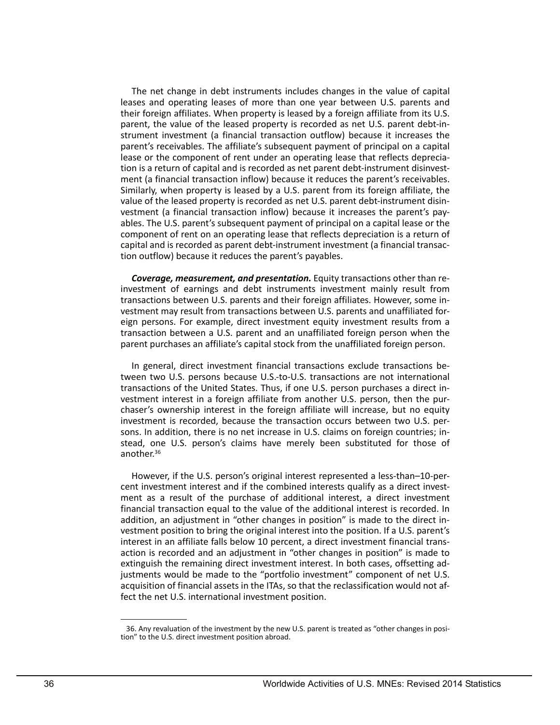parent, the value of the leased property is recorded as net U.S. parent debt-in- vestment (a financial transaction inflow) because it increases the parent's pay- capital and is recorded as parent debt-instrument investment (a financial transac-The net change in debt instruments includes changes in the value of capital leases and operating leases of more than one year between U.S. parents and their foreign affiliates. When property is leased by a foreign affiliate from its U.S. strument investment (a financial transaction outflow) because it increases the parent's receivables. The affiliate's subsequent payment of principal on a capital lease or the component of rent under an operating lease that reflects depreciation is a return of capital and is recorded as net parent debt-instrument disinvestment (a financial transaction inflow) because it reduces the parent's receivables. Similarly, when property is leased by a U.S. parent from its foreign affiliate, the value of the leased property is recorded as net U.S. parent debt-instrument disinables. The U.S. parent's subsequent payment of principal on a capital lease or the component of rent on an operating lease that reflects depreciation is a return of tion outflow) because it reduces the parent's payables.

*Coverage, measurement, and presentation.* Equity transactions other than reinvestment of earnings and debt instruments investment mainly result from transactions between U.S. parents and their foreign affiliates. However, some investment may result from transactions between U.S. parents and unaffiliated foreign persons. For example, direct investment equity investment results from a transaction between a U.S. parent and an unaffiliated foreign person when the parent purchases an affiliate's capital stock from the unaffiliated foreign person.

In general, direct investment financial transactions exclude transactions between two U.S. persons because U.S.-to-U.S. transactions are not international transactions of the United States. Thus, if one U.S. person purchases a direct investment interest in a foreign affiliate from another U.S. person, then the purchaser's ownership interest in the foreign affiliate will increase, but no equity investment is recorded, because the transaction occurs between two U.S. persons. In addition, there is no net increase in U.S. claims on foreign countries; instead, one U.S. person's claims have merely been substituted for those of another.36

 vestment position to bring the original interest into the position. If a U.S. parent's However, if the U.S. person's original interest represented a less-than–10-percent investment interest and if the combined interests qualify as a direct investment as a result of the purchase of additional interest, a direct investment financial transaction equal to the value of the additional interest is recorded. In addition, an adjustment in "other changes in position" is made to the direct ininterest in an affiliate falls below 10 percent, a direct investment financial transaction is recorded and an adjustment in "other changes in position" is made to extinguish the remaining direct investment interest. In both cases, offsetting adjustments would be made to the "portfolio investment" component of net U.S. acquisition of financial assets in the ITAs, so that the reclassification would not affect the net U.S. international investment position.

<sup>36.</sup> Any revaluation of the investment by the new U.S. parent is treated as "other changes in posi- tion" to the U.S. direct investment position abroad.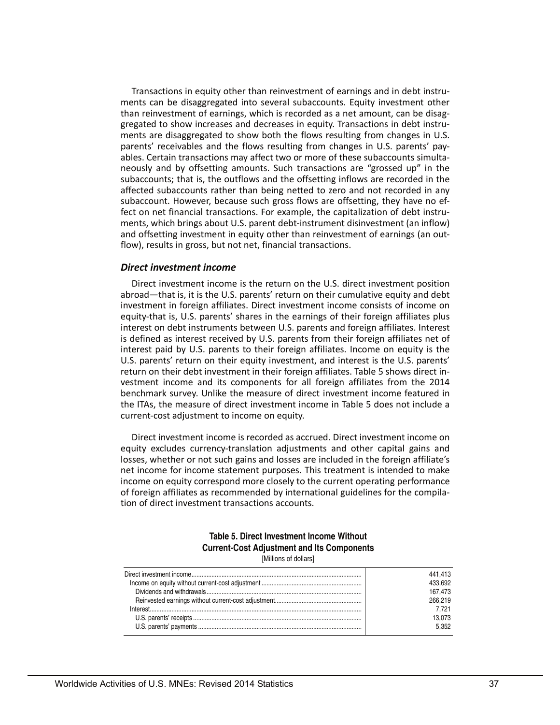Transactions in equity other than reinvestment of earnings and in debt instruments can be disaggregated into several subaccounts. Equity investment other than reinvestment of earnings, which is recorded as a net amount, can be disaggregated to show increases and decreases in equity. Transactions in debt instruments are disaggregated to show both the flows resulting from changes in U.S. parents' receivables and the flows resulting from changes in U.S. parents' payables. Certain transactions may affect two or more of these subaccounts simultaneously and by offsetting amounts. Such transactions are "grossed up" in the subaccounts; that is, the outflows and the offsetting inflows are recorded in the affected subaccounts rather than being netted to zero and not recorded in any subaccount. However, because such gross flows are offsetting, they have no effect on net financial transactions. For example, the capitalization of debt instruments, which brings about U.S. parent debt-instrument disinvestment (an inflow) and offsetting investment in equity other than reinvestment of earnings (an outflow), results in gross, but not net, financial transactions.

#### *Direct investment income*

 the ITAs, the measure of direct investment income in Table 5 does not include a Direct investment income is the return on the U.S. direct investment position abroad—that is, it is the U.S. parents' return on their cumulative equity and debt investment in foreign affiliates. Direct investment income consists of income on equity-that is, U.S. parents' shares in the earnings of their foreign affiliates plus interest on debt instruments between U.S. parents and foreign affiliates. Interest is defined as interest received by U.S. parents from their foreign affiliates net of interest paid by U.S. parents to their foreign affiliates. Income on equity is the U.S. parents' return on their equity investment, and interest is the U.S. parents' return on their debt investment in their foreign affiliates. Table 5 shows direct investment income and its components for all foreign affiliates from the 2014 benchmark survey. Unlike the measure of direct investment income featured in current-cost adjustment to income on equity.

 Direct investment income is recorded as accrued. Direct investment income on equity excludes currency-translation adjustments and other capital gains and losses, whether or not such gains and losses are included in the foreign affiliate's net income for income statement purposes. This treatment is intended to make income on equity correspond more closely to the current operating performance of foreign affiliates as recommended by international guidelines for the compilation of direct investment transactions accounts.

# **Table 5. Direct Investment Income Without Current-Cost Adjustment and Its Components**

[Millions of dollars]

| 441.413 |
|---------|
| 433.692 |
| 167.473 |
| 266.219 |
| 7.721   |
| 13.073  |
| 5.352   |
|         |